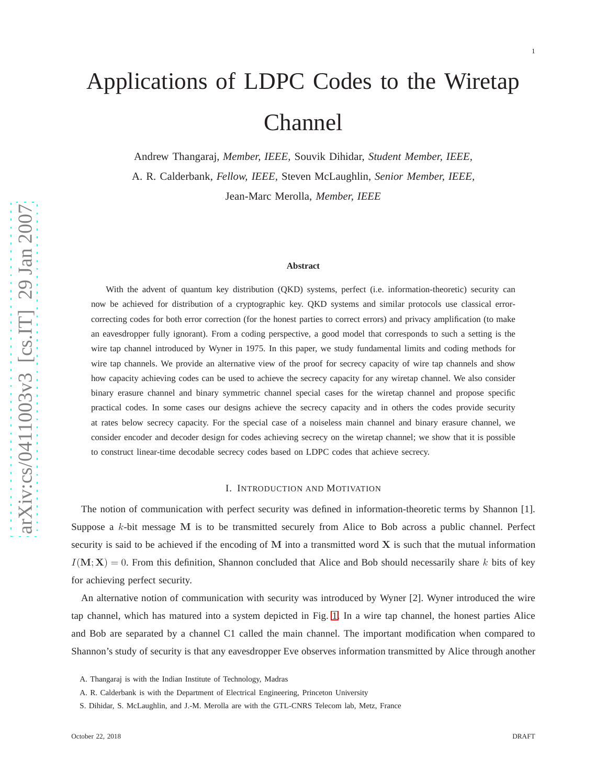# Applications of LDPC Codes to the Wiretap Channel

Andrew Thangaraj, *Member, IEEE,* Souvik Dihidar, *Student Member, IEEE,* A. R. Calderbank, *Fellow, IEEE,* Steven McLaughlin, *Senior Member, IEEE,* Jean-Marc Merolla, *Member, IEEE*

#### **Abstract**

With the advent of quantum key distribution (QKD) systems, perfect (i.e. information-theoretic) security can now be achieved for distribution of a cryptographic key. QKD systems and similar protocols use classical errorcorrecting codes for both error correction (for the honest parties to correct errors) and privacy amplification (to make an eavesdropper fully ignorant). From a coding perspective, a good model that corresponds to such a setting is the wire tap channel introduced by Wyner in 1975. In this paper, we study fundamental limits and coding methods for wire tap channels. We provide an alternative view of the proof for secrecy capacity of wire tap channels and show how capacity achieving codes can be used to achieve the secrecy capacity for any wiretap channel. We also consider binary erasure channel and binary symmetric channel special cases for the wiretap channel and propose specific practical codes. In some cases our designs achieve the secrecy capacity and in others the codes provide security at rates below secrecy capacity. For the special case of a noiseless main channel and binary erasure channel, we consider encoder and decoder design for codes achieving secrecy on the wiretap channel; we show that it is possible to construct linear-time decodable secrecy codes based on LDPC codes that achieve secrecy.

## I. INTRODUCTION AND MOTIVATION

The notion of communication with perfect security was defined in information-theoretic terms by Shannon [1]. Suppose a  $k$ -bit message M is to be transmitted securely from Alice to Bob across a public channel. Perfect security is said to be achieved if the encoding of M into a transmitted word  $X$  is such that the mutual information  $I(M; X) = 0$ . From this definition, Shannon concluded that Alice and Bob should necessarily share k bits of key for achieving perfect security.

An alternative notion of communication with security was introduced by Wyner [2]. Wyner introduced the wire tap channel, which has matured into a system depicted in Fig. [1.](#page-1-0) In a wire tap channel, the honest parties Alice and Bob are separated by a channel C1 called the main channel. The important modification when compared to Shannon's study of security is that any eavesdropper Eve observes information transmitted by Alice through another

A. Thangaraj is with the Indian Institute of Technology, Madras

A. R. Calderbank is with the Department of Electrical Engineering, Princeton University

S. Dihidar, S. McLaughlin, and J.-M. Merolla are with the GTL-CNRS Telecom lab, Metz, France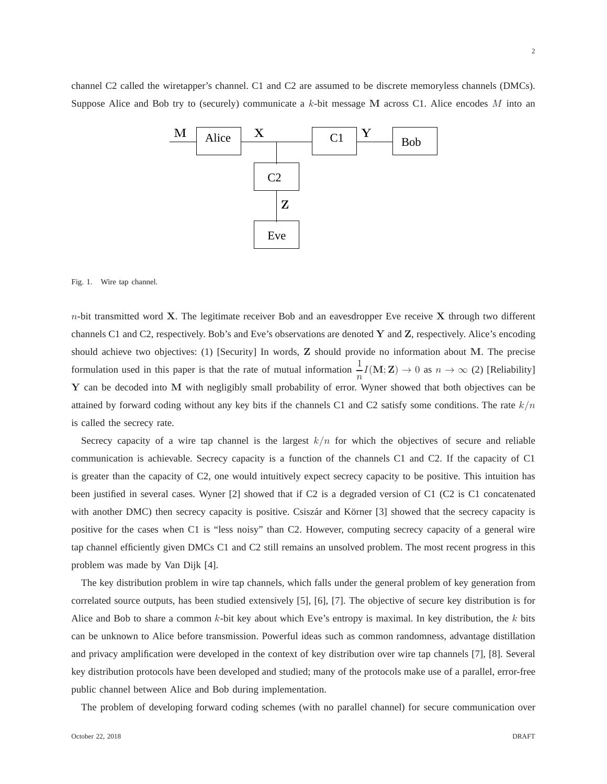channel C2 called the wiretapper's channel. C1 and C2 are assumed to be discrete memoryless channels (DMCs). Suppose Alice and Bob try to (securely) communicate a k-bit message M across C1. Alice encodes  $M$  into an



<span id="page-1-0"></span>Fig. 1. Wire tap channel.

 $n$ -bit transmitted word X. The legitimate receiver Bob and an eavesdropper Eve receive X through two different channels C1 and C2, respectively. Bob's and Eve's observations are denoted Y and Z, respectively. Alice's encoding should achieve two objectives: (1) [Security] In words, Z should provide no information about M. The precise formulation used in this paper is that the rate of mutual information  $\frac{1}{n}I(M; \mathbf{Z}) \to 0$  as  $n \to \infty$  (2) [Reliability] Y can be decoded into M with negligibly small probability of error. Wyner showed that both objectives can be attained by forward coding without any key bits if the channels C1 and C2 satisfy some conditions. The rate  $k/n$ is called the secrecy rate.

Secrecy capacity of a wire tap channel is the largest  $k/n$  for which the objectives of secure and reliable communication is achievable. Secrecy capacity is a function of the channels C1 and C2. If the capacity of C1 is greater than the capacity of C2, one would intuitively expect secrecy capacity to be positive. This intuition has been justified in several cases. Wyner [2] showed that if C2 is a degraded version of C1 (C2 is C1 concatenated with another DMC) then secrecy capacity is positive. Csiszár and Körner [3] showed that the secrecy capacity is positive for the cases when C1 is "less noisy" than C2. However, computing secrecy capacity of a general wire tap channel efficiently given DMCs C1 and C2 still remains an unsolved problem. The most recent progress in this problem was made by Van Dijk [4].

The key distribution problem in wire tap channels, which falls under the general problem of key generation from correlated source outputs, has been studied extensively [5], [6], [7]. The objective of secure key distribution is for Alice and Bob to share a common k-bit key about which Eve's entropy is maximal. In key distribution, the  $k$  bits can be unknown to Alice before transmission. Powerful ideas such as common randomness, advantage distillation and privacy amplification were developed in the context of key distribution over wire tap channels [7], [8]. Several key distribution protocols have been developed and studied; many of the protocols make use of a parallel, error-free public channel between Alice and Bob during implementation.

The problem of developing forward coding schemes (with no parallel channel) for secure communication over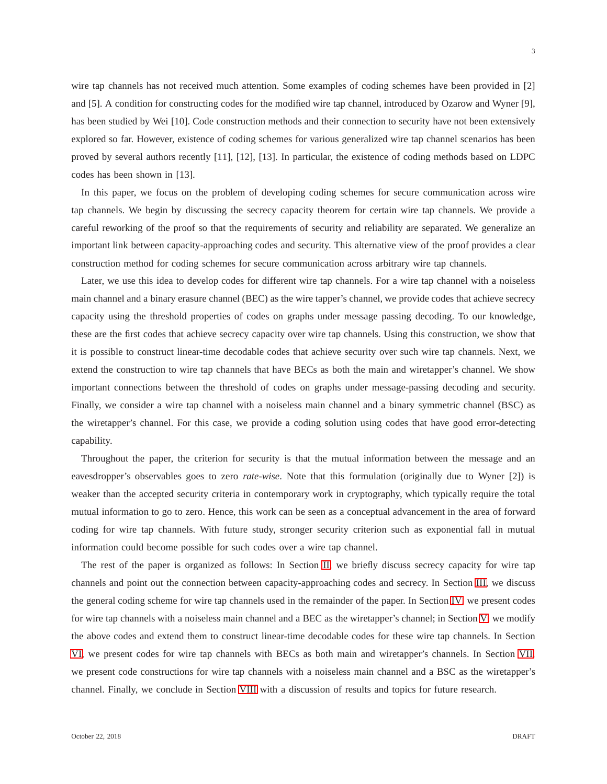3

wire tap channels has not received much attention. Some examples of coding schemes have been provided in [2] and [5]. A condition for constructing codes for the modified wire tap channel, introduced by Ozarow and Wyner [9], has been studied by Wei [10]. Code construction methods and their connection to security have not been extensively explored so far. However, existence of coding schemes for various generalized wire tap channel scenarios has been proved by several authors recently [11], [12], [13]. In particular, the existence of coding methods based on LDPC codes has been shown in [13].

In this paper, we focus on the problem of developing coding schemes for secure communication across wire tap channels. We begin by discussing the secrecy capacity theorem for certain wire tap channels. We provide a careful reworking of the proof so that the requirements of security and reliability are separated. We generalize an important link between capacity-approaching codes and security. This alternative view of the proof provides a clear construction method for coding schemes for secure communication across arbitrary wire tap channels.

Later, we use this idea to develop codes for different wire tap channels. For a wire tap channel with a noiseless main channel and a binary erasure channel (BEC) as the wire tapper's channel, we provide codes that achieve secrecy capacity using the threshold properties of codes on graphs under message passing decoding. To our knowledge, these are the first codes that achieve secrecy capacity over wire tap channels. Using this construction, we show that it is possible to construct linear-time decodable codes that achieve security over such wire tap channels. Next, we extend the construction to wire tap channels that have BECs as both the main and wiretapper's channel. We show important connections between the threshold of codes on graphs under message-passing decoding and security. Finally, we consider a wire tap channel with a noiseless main channel and a binary symmetric channel (BSC) as the wiretapper's channel. For this case, we provide a coding solution using codes that have good error-detecting capability.

Throughout the paper, the criterion for security is that the mutual information between the message and an eavesdropper's observables goes to zero *rate-wise*. Note that this formulation (originally due to Wyner [2]) is weaker than the accepted security criteria in contemporary work in cryptography, which typically require the total mutual information to go to zero. Hence, this work can be seen as a conceptual advancement in the area of forward coding for wire tap channels. With future study, stronger security criterion such as exponential fall in mutual information could become possible for such codes over a wire tap channel.

The rest of the paper is organized as follows: In Section [II,](#page-3-0) we briefly discuss secrecy capacity for wire tap channels and point out the connection between capacity-approaching codes and secrecy. In Section [III,](#page-5-0) we discuss the general coding scheme for wire tap channels used in the remainder of the paper. In Section [IV,](#page-6-0) we present codes for wire tap channels with a noiseless main channel and a BEC as the wiretapper's channel; in Section [V,](#page-10-0) we modify the above codes and extend them to construct linear-time decodable codes for these wire tap channels. In Section [VI,](#page-17-0) we present codes for wire tap channels with BECs as both main and wiretapper's channels. In Section [VII,](#page-21-0) we present code constructions for wire tap channels with a noiseless main channel and a BSC as the wiretapper's channel. Finally, we conclude in Section [VIII](#page-24-0) with a discussion of results and topics for future research.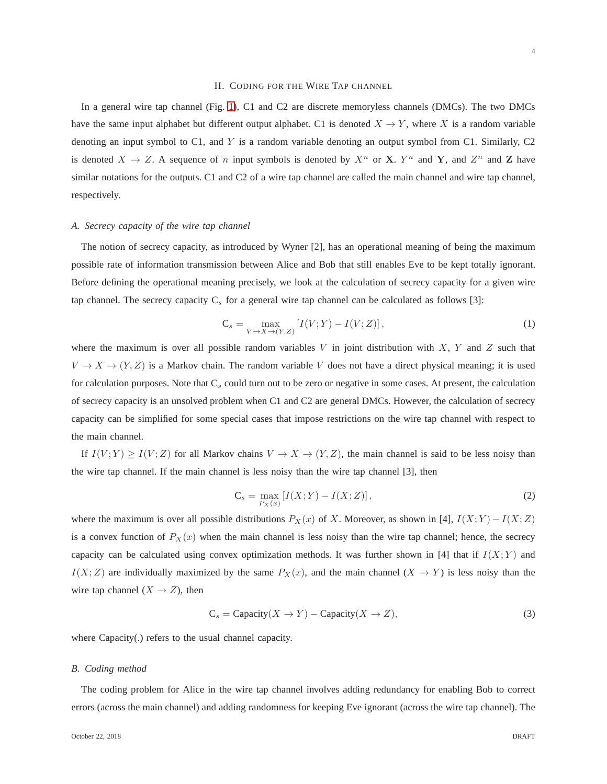## II. CODING FOR THE WIRE TAP CHANNEL

<span id="page-3-0"></span>In a general wire tap channel (Fig. [1\)](#page-1-0), C1 and C2 are discrete memoryless channels (DMCs). The two DMCs have the same input alphabet but different output alphabet. C1 is denoted  $X \to Y$ , where X is a random variable denoting an input symbol to  $C1$ , and Y is a random variable denoting an output symbol from  $C1$ . Similarly,  $C2$ is denoted  $X \to Z$ . A sequence of n input symbols is denoted by  $X^n$  or **X**.  $Y^n$  and **Y**, and  $Z^n$  and **Z** have similar notations for the outputs. C1 and C2 of a wire tap channel are called the main channel and wire tap channel, respectively.

## *A. Secrecy capacity of the wire tap channel*

The notion of secrecy capacity, as introduced by Wyner [2], has an operational meaning of being the maximum possible rate of information transmission between Alice and Bob that still enables Eve to be kept totally ignorant. Before defining the operational meaning precisely, we look at the calculation of secrecy capacity for a given wire tap channel. The secrecy capacity  $C_s$  for a general wire tap channel can be calculated as follows [3]:

$$
C_s = \max_{V \to X \to (Y, Z)} \left[ I(V; Y) - I(V; Z) \right],\tag{1}
$$

where the maximum is over all possible random variables  $V$  in joint distribution with  $X$ ,  $Y$  and  $Z$  such that  $V \to X \to (Y, Z)$  is a Markov chain. The random variable V does not have a direct physical meaning; it is used for calculation purposes. Note that  $C_s$  could turn out to be zero or negative in some cases. At present, the calculation of secrecy capacity is an unsolved problem when C1 and C2 are general DMCs. However, the calculation of secrecy capacity can be simplified for some special cases that impose restrictions on the wire tap channel with respect to the main channel.

If  $I(V;Y) \geq I(V;Z)$  for all Markov chains  $V \to X \to (Y,Z)$ , the main channel is said to be less noisy than the wire tap channel. If the main channel is less noisy than the wire tap channel [3], then

$$
C_s = \max_{P_X(x)} \left[ I(X;Y) - I(X;Z) \right],\tag{2}
$$

where the maximum is over all possible distributions  $P_X(x)$  of X. Moreover, as shown in [4],  $I(X;Y) - I(X;Z)$ is a convex function of  $P_X(x)$  when the main channel is less noisy than the wire tap channel; hence, the secrecy capacity can be calculated using convex optimization methods. It was further shown in [4] that if  $I(X; Y)$  and  $I(X;Z)$  are individually maximized by the same  $P_X(x)$ , and the main channel  $(X \to Y)$  is less noisy than the wire tap channel  $(X \rightarrow Z)$ , then

<span id="page-3-2"></span>
$$
C_s = Capacity(X \to Y) - Capacity(X \to Z), \tag{3}
$$

<span id="page-3-1"></span>where Capacity(.) refers to the usual channel capacity.

## *B. Coding method*

The coding problem for Alice in the wire tap channel involves adding redundancy for enabling Bob to correct errors (across the main channel) and adding randomness for keeping Eve ignorant (across the wire tap channel). The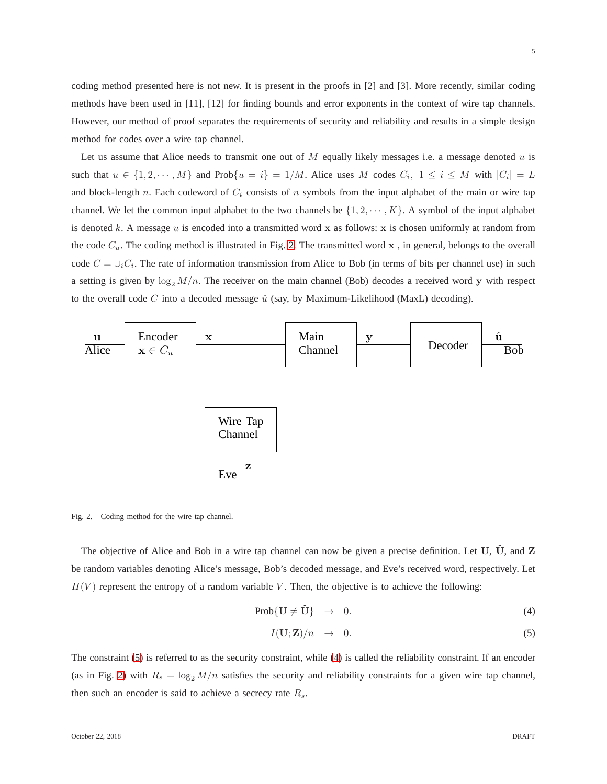coding method presented here is not new. It is present in the proofs in [2] and [3]. More recently, similar coding methods have been used in [11], [12] for finding bounds and error exponents in the context of wire tap channels. However, our method of proof separates the requirements of security and reliability and results in a simple design method for codes over a wire tap channel.

Let us assume that Alice needs to transmit one out of  $M$  equally likely messages i.e. a message denoted  $u$  is such that  $u \in \{1, 2, \dots, M\}$  and  $Prob\{u = i\} = 1/M$ . Alice uses M codes  $C_i$ ,  $1 \le i \le M$  with  $|C_i| = L$ and block-length n. Each codeword of  $C_i$  consists of n symbols from the input alphabet of the main or wire tap channel. We let the common input alphabet to the two channels be  $\{1, 2, \dots, K\}$ . A symbol of the input alphabet is denoted k. A message u is encoded into a transmitted word x as follows: x is chosen uniformly at random from the code  $C_u$ . The coding method is illustrated in Fig. [2.](#page-4-0) The transmitted word  $x$ , in general, belongs to the overall code  $C = \bigcup_i C_i$ . The rate of information transmission from Alice to Bob (in terms of bits per channel use) in such a setting is given by  $\log_2 M/n$ . The receiver on the main channel (Bob) decodes a received word y with respect to the overall code  $C$  into a decoded message  $\hat{u}$  (say, by Maximum-Likelihood (MaxL) decoding).



<span id="page-4-0"></span>Fig. 2. Coding method for the wire tap channel.

The objective of Alice and Bob in a wire tap channel can now be given a precise definition. Let U,  $\hat{U}$ , and Z be random variables denoting Alice's message, Bob's decoded message, and Eve's received word, respectively. Let  $H(V)$  represent the entropy of a random variable V. Then, the objective is to achieve the following:

<span id="page-4-1"></span>
$$
Prob\{U \neq \hat{U}\} \rightarrow 0. \tag{4}
$$

$$
I(\mathbf{U};\mathbf{Z})/n \quad \to \quad 0. \tag{5}
$$

The constraint [\(5\)](#page-4-1) is referred to as the security constraint, while [\(4\)](#page-4-1) is called the reliability constraint. If an encoder (as in Fig. [2\)](#page-4-0) with  $R_s = \log_2 M/n$  satisfies the security and reliability constraints for a given wire tap channel, then such an encoder is said to achieve a secrecy rate  $R_s$ .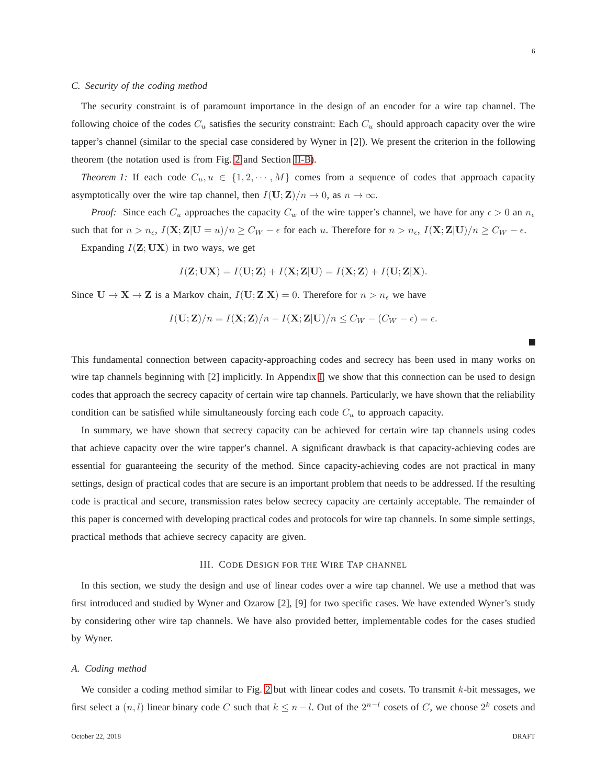## <span id="page-5-2"></span>*C. Security of the coding method*

The security constraint is of paramount importance in the design of an encoder for a wire tap channel. The following choice of the codes  $C_u$  satisfies the security constraint: Each  $C_u$  should approach capacity over the wire tapper's channel (similar to the special case considered by Wyner in [2]). We present the criterion in the following theorem (the notation used is from Fig. [2](#page-4-0) and Section [II-B\)](#page-3-1).

*Theorem 1:* If each code  $C_u, u \in \{1, 2, \dots, M\}$  comes from a sequence of codes that approach capacity asymptotically over the wire tap channel, then  $I(U; Z)/n \to 0$ , as  $n \to \infty$ .

*Proof:* Since each  $C_u$  approaches the capacity  $C_w$  of the wire tapper's channel, we have for any  $\epsilon > 0$  an  $n_{\epsilon}$ such that for  $n > n_{\epsilon}$ ,  $I(\mathbf{X}; \mathbf{Z} | \mathbf{U} = u)/n \ge C_W - \epsilon$  for each u. Therefore for  $n > n_{\epsilon}$ ,  $I(\mathbf{X}; \mathbf{Z} | \mathbf{U})/n \ge C_W - \epsilon$ . Expanding  $I(\mathbf{Z}; \mathbf{U}\mathbf{X})$  in two ways, we get

$$
I(\mathbf{Z}; \mathbf{U}\mathbf{X}) = I(\mathbf{U}; \mathbf{Z}) + I(\mathbf{X}; \mathbf{Z}|\mathbf{U}) = I(\mathbf{X}; \mathbf{Z}) + I(\mathbf{U}; \mathbf{Z}|\mathbf{X}).
$$

Since  $\mathbf{U} \to \mathbf{X} \to \mathbf{Z}$  is a Markov chain,  $I(\mathbf{U}; \mathbf{Z} | \mathbf{X}) = 0$ . Therefore for  $n > n_{\epsilon}$  we have

$$
I(\mathbf{U};\mathbf{Z})/n = I(\mathbf{X};\mathbf{Z})/n - I(\mathbf{X};\mathbf{Z}|\mathbf{U})/n \leq C_W - (C_W - \epsilon) = \epsilon.
$$

This fundamental connection between capacity-approaching codes and secrecy has been used in many works on wire tap channels beginning with [2] implicitly. In Appendix [I,](#page-24-1) we show that this connection can be used to design codes that approach the secrecy capacity of certain wire tap channels. Particularly, we have shown that the reliability condition can be satisfied while simultaneously forcing each code  $C_u$  to approach capacity.

In summary, we have shown that secrecy capacity can be achieved for certain wire tap channels using codes that achieve capacity over the wire tapper's channel. A significant drawback is that capacity-achieving codes are essential for guaranteeing the security of the method. Since capacity-achieving codes are not practical in many settings, design of practical codes that are secure is an important problem that needs to be addressed. If the resulting code is practical and secure, transmission rates below secrecy capacity are certainly acceptable. The remainder of this paper is concerned with developing practical codes and protocols for wire tap channels. In some simple settings, practical methods that achieve secrecy capacity are given.

## III. CODE DESIGN FOR THE WIRE TAP CHANNEL

<span id="page-5-0"></span>In this section, we study the design and use of linear codes over a wire tap channel. We use a method that was first introduced and studied by Wyner and Ozarow [2], [9] for two specific cases. We have extended Wyner's study by considering other wire tap channels. We have also provided better, implementable codes for the cases studied by Wyner.

## <span id="page-5-1"></span>*A. Coding method*

We consider a coding method similar to Fig. [2](#page-4-0) but with linear codes and cosets. To transmit  $k$ -bit messages, we first select a  $(n, l)$  linear binary code C such that  $k \leq n - l$ . Out of the  $2^{n-l}$  cosets of C, we choose  $2^k$  cosets and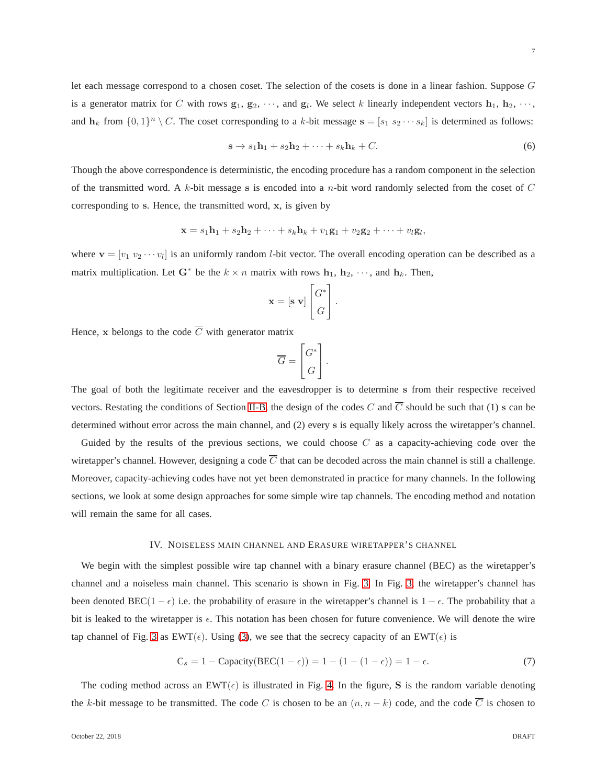let each message correspond to a chosen coset. The selection of the cosets is done in a linear fashion. Suppose G is a generator matrix for C with rows  $g_1, g_2, \dots$ , and  $g_l$ . We select k linearly independent vectors  $h_1, h_2, \dots$ , and  $h_k$  from  $\{0,1\}^n \setminus C$ . The coset corresponding to a k-bit message  $\mathbf{s} = [s_1 \ s_2 \cdots s_k]$  is determined as follows:

$$
\mathbf{s} \to s_1 \mathbf{h}_1 + s_2 \mathbf{h}_2 + \dots + s_k \mathbf{h}_k + C. \tag{6}
$$

Though the above correspondence is deterministic, the encoding procedure has a random component in the selection of the transmitted word. A k-bit message s is encoded into a n-bit word randomly selected from the coset of  $C$ corresponding to s. Hence, the transmitted word, x, is given by

$$
\mathbf{x} = s_1 \mathbf{h}_1 + s_2 \mathbf{h}_2 + \dots + s_k \mathbf{h}_k + v_1 \mathbf{g}_1 + v_2 \mathbf{g}_2 + \dots + v_l \mathbf{g}_l,
$$

where  $\mathbf{v} = [v_1 \ v_2 \cdots v_l]$  is an uniformly random *l*-bit vector. The overall encoding operation can be described as a matrix multiplication. Let  $G^*$  be the  $k \times n$  matrix with rows  $h_1, h_2, \dots$ , and  $h_k$ . Then,

$$
\mathbf{x} = [\mathbf{s} \ \mathbf{v}] \begin{bmatrix} G^* \\ G \end{bmatrix}.
$$

Hence, x belongs to the code  $\overline{C}$  with generator matrix

$$
\overline{G} = \begin{bmatrix} G^* \\ G \end{bmatrix}.
$$

The goal of both the legitimate receiver and the eavesdropper is to determine s from their respective received vectors. Restating the conditions of Section [II-B,](#page-3-1) the design of the codes C and  $\overline{C}$  should be such that (1) s can be determined without error across the main channel, and (2) every s is equally likely across the wiretapper's channel.

Guided by the results of the previous sections, we could choose  $C$  as a capacity-achieving code over the wiretapper's channel. However, designing a code  $\overline{C}$  that can be decoded across the main channel is still a challenge. Moreover, capacity-achieving codes have not yet been demonstrated in practice for many channels. In the following sections, we look at some design approaches for some simple wire tap channels. The encoding method and notation will remain the same for all cases.

## IV. NOISELESS MAIN CHANNEL AND ERASURE WIRETAPPER'S CHANNEL

<span id="page-6-0"></span>We begin with the simplest possible wire tap channel with a binary erasure channel (BEC) as the wiretapper's channel and a noiseless main channel. This scenario is shown in Fig. [3.](#page-7-0) In Fig. [3,](#page-7-0) the wiretapper's channel has been denoted BEC(1 –  $\epsilon$ ) i.e. the probability of erasure in the wiretapper's channel is 1 –  $\epsilon$ . The probability that a bit is leaked to the wiretapper is  $\epsilon$ . This notation has been chosen for future convenience. We will denote the wire tap channel of Fig. [3](#page-7-0) as EWT( $\epsilon$ ). Using [\(3\)](#page-3-2), we see that the secrecy capacity of an EWT( $\epsilon$ ) is

<span id="page-6-1"></span>
$$
C_s = 1 - \text{Capacity}(BEC(1 - \epsilon)) = 1 - (1 - (1 - \epsilon)) = 1 - \epsilon.
$$
 (7)

The coding method across an EWT( $\epsilon$ ) is illustrated in Fig. [4.](#page-7-1) In the figure, S is the random variable denoting the k-bit message to be transmitted. The code C is chosen to be an  $(n, n - k)$  code, and the code  $\overline{C}$  is chosen to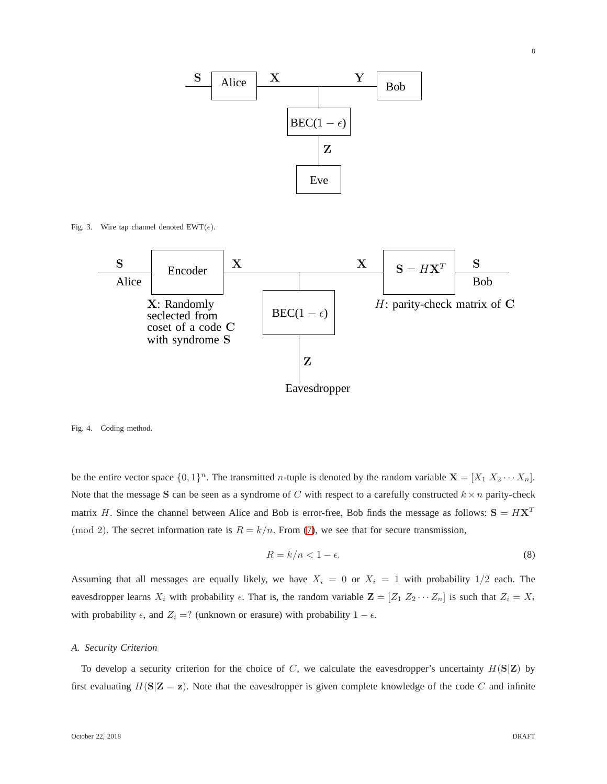8



Fig. 3. Wire tap channel denoted  $EWT(\epsilon)$ .

<span id="page-7-0"></span>

#### <span id="page-7-1"></span>Fig. 4. Coding method.

be the entire vector space  $\{0,1\}^n$ . The transmitted *n*-tuple is denoted by the random variable  $\mathbf{X} = [X_1 \ X_2 \cdots X_n]$ . Note that the message S can be seen as a syndrome of C with respect to a carefully constructed  $k \times n$  parity-check matrix H. Since the channel between Alice and Bob is error-free, Bob finds the message as follows:  $S = HX<sup>T</sup>$ (mod 2). The secret information rate is  $R = k/n$ . From [\(7\)](#page-6-1), we see that for secure transmission,

<span id="page-7-2"></span>
$$
R = k/n < 1 - \epsilon. \tag{8}
$$

Assuming that all messages are equally likely, we have  $X_i = 0$  or  $X_i = 1$  with probability  $1/2$  each. The eavesdropper learns  $X_i$  with probability  $\epsilon$ . That is, the random variable  $\mathbf{Z} = [Z_1 \ Z_2 \cdots Z_n]$  is such that  $Z_i = X_i$ with probability  $\epsilon$ , and  $Z_i =$ ? (unknown or erasure) with probability 1 –  $\epsilon$ .

## *A. Security Criterion*

To develop a security criterion for the choice of C, we calculate the eavesdropper's uncertainty  $H(S|Z)$  by first evaluating  $H(S|Z = z)$ . Note that the eavesdropper is given complete knowledge of the code C and infinite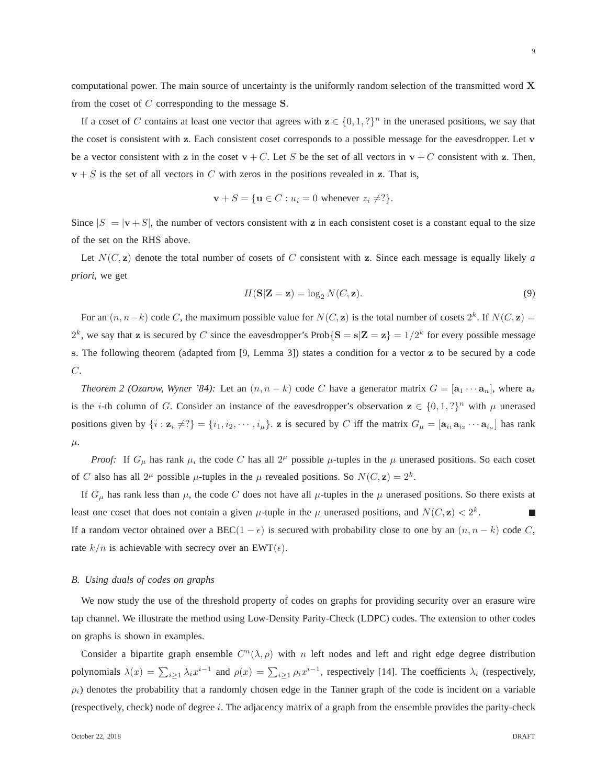computational power. The main source of uncertainty is the uniformly random selection of the transmitted word X from the coset of  $C$  corresponding to the message  $S$ .

If a coset of C contains at least one vector that agrees with  $z \in \{0, 1, ?\}^n$  in the unerased positions, we say that the coset is consistent with z. Each consistent coset corresponds to a possible message for the eavesdropper. Let v be a vector consistent with z in the coset  $v + C$ . Let S be the set of all vectors in  $v + C$  consistent with z. Then,  $v + S$  is the set of all vectors in C with zeros in the positions revealed in z. That is,

$$
\mathbf{v} + S = \{ \mathbf{u} \in C : u_i = 0 \text{ whenever } z_i \neq ? \}.
$$

Since  $|S| = |v + S|$ , the number of vectors consistent with z in each consistent coset is a constant equal to the size of the set on the RHS above.

Let  $N(C, z)$  denote the total number of cosets of C consistent with z. Since each message is equally likely a *priori*, we get

$$
H(S|Z = z) = \log_2 N(C, z).
$$
\n(9)

For an  $(n, n-k)$  code C, the maximum possible value for  $N(C, z)$  is the total number of cosets  $2^k$ . If  $N(C, z)$  =  $2^k$ , we say that z is secured by C since the eavesdropper's Prob $\{S = s | Z = z\} = 1/2^k$  for every possible message s. The following theorem (adapted from [9, Lemma 3]) states a condition for a vector z to be secured by a code C.

<span id="page-8-0"></span>*Theorem 2 (Ozarow, Wyner '84):* Let an  $(n, n - k)$  code C have a generator matrix  $G = [\mathbf{a}_1 \cdots \mathbf{a}_n]$ , where  $\mathbf{a}_i$ is the *i*-th column of G. Consider an instance of the eavesdropper's observation  $z \in \{0,1,?\}^n$  with  $\mu$  unerased positions given by  $\{i : \mathbf{z}_i \neq ?\} = \{i_1, i_2, \cdots, i_\mu\}$ .  $\mathbf{z}$  is secured by C iff the matrix  $G_\mu = [\mathbf{a}_{i_1} \mathbf{a}_{i_2} \cdots \mathbf{a}_{i_\mu}]$  has rank  $\mu$ .

*Proof:* If  $G_{\mu}$  has rank  $\mu$ , the code C has all  $2^{\mu}$  possible  $\mu$ -tuples in the  $\mu$  unerased positions. So each coset of C also has all  $2^{\mu}$  possible  $\mu$ -tuples in the  $\mu$  revealed positions. So  $N(C, \mathbf{z}) = 2^{k}$ .

If  $G_\mu$  has rank less than  $\mu$ , the code C does not have all  $\mu$ -tuples in the  $\mu$  unerased positions. So there exists at least one coset that does not contain a given  $\mu$ -tuple in the  $\mu$  unerased positions, and  $N(C, \mathbf{z}) < 2^k$ . П If a random vector obtained over a BEC(1 –  $\epsilon$ ) is secured with probability close to one by an  $(n, n - k)$  code C, rate  $k/n$  is achievable with secrecy over an EWT( $\epsilon$ ).

#### *B. Using duals of codes on graphs*

We now study the use of the threshold property of codes on graphs for providing security over an erasure wire tap channel. We illustrate the method using Low-Density Parity-Check (LDPC) codes. The extension to other codes on graphs is shown in examples.

Consider a bipartite graph ensemble  $C^n(\lambda, \rho)$  with n left nodes and left and right edge degree distribution polynomials  $\lambda(x) = \sum_{i \geq 1} \lambda_i x^{i-1}$  and  $\rho(x) = \sum_{i \geq 1} \rho_i x^{i-1}$ , respectively [14]. The coefficients  $\lambda_i$  (respectively,  $\rho_i$ ) denotes the probability that a randomly chosen edge in the Tanner graph of the code is incident on a variable (respectively, check) node of degree i. The adjacency matrix of a graph from the ensemble provides the parity-check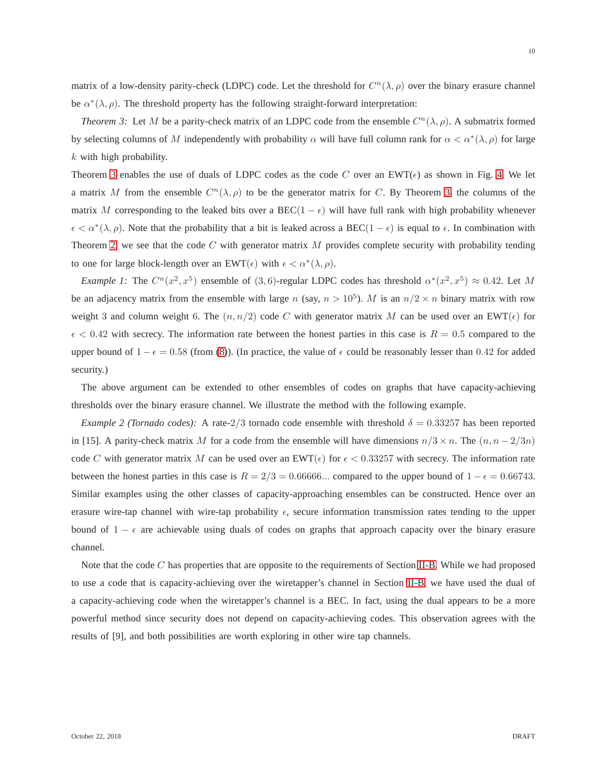matrix of a low-density parity-check (LDPC) code. Let the threshold for  $C^n(\lambda, \rho)$  over the binary erasure channel be  $\alpha^*(\lambda, \rho)$ . The threshold property has the following straight-forward interpretation:

*Theorem 3:* Let M be a parity-check matrix of an LDPC code from the ensemble  $C^n(\lambda, \rho)$ . A submatrix formed by selecting columns of M independently with probability  $\alpha$  will have full column rank for  $\alpha < \alpha^*(\lambda, \rho)$  for large  $k$  with high probability.

Theorem [3](#page-9-0) enables the use of duals of LDPC codes as the code C over an EWT( $\epsilon$ ) as shown in Fig. [4.](#page-7-1) We let a matrix M from the ensemble  $C^n(\lambda, \rho)$  to be the generator matrix for C. By Theorem [3,](#page-9-0) the columns of the matrix M corresponding to the leaked bits over a BEC(1 –  $\epsilon$ ) will have full rank with high probability whenever  $\epsilon < \alpha^*(\lambda, \rho)$ . Note that the probability that a bit is leaked across a BEC(1 –  $\epsilon$ ) is equal to  $\epsilon$ . In combination with Theorem [2,](#page-8-0) we see that the code  $C$  with generator matrix  $M$  provides complete security with probability tending to one for large block-length over an EWT( $\epsilon$ ) with  $\epsilon < \alpha^*(\lambda, \rho)$ .

*Example 1:* The  $C^n(x^2, x^5)$  ensemble of (3,6)-regular LDPC codes has threshold  $\alpha^*(x^2, x^5) \approx 0.42$ . Let M be an adjacency matrix from the ensemble with large n (say,  $n > 10^5$ ). M is an  $n/2 \times n$  binary matrix with row weight 3 and column weight 6. The  $(n, n/2)$  code C with generator matrix M can be used over an EWT( $\epsilon$ ) for  $\epsilon$  < 0.42 with secrecy. The information rate between the honest parties in this case is  $R = 0.5$  compared to the upper bound of  $1 - \epsilon = 0.58$  (from [\(8\)](#page-7-2)). (In practice, the value of  $\epsilon$  could be reasonably lesser than 0.42 for added security.)

The above argument can be extended to other ensembles of codes on graphs that have capacity-achieving thresholds over the binary erasure channel. We illustrate the method with the following example.

*Example 2 (Tornado codes):* A rate-2/3 tornado code ensemble with threshold  $\delta = 0.33257$  has been reported in [15]. A parity-check matrix M for a code from the ensemble will have dimensions  $n/3 \times n$ . The  $(n, n - 2/3n)$ code C with generator matrix M can be used over an EWT( $\epsilon$ ) for  $\epsilon$  < 0.33257 with secrecy. The information rate between the honest parties in this case is  $R = 2/3 = 0.66666...$  compared to the upper bound of  $1 - \epsilon = 0.66743$ . Similar examples using the other classes of capacity-approaching ensembles can be constructed. Hence over an erasure wire-tap channel with wire-tap probability  $\epsilon$ , secure information transmission rates tending to the upper bound of  $1 - \epsilon$  are achievable using duals of codes on graphs that approach capacity over the binary erasure channel.

Note that the code  $C$  has properties that are opposite to the requirements of Section [II-B.](#page-3-1) While we had proposed to use a code that is capacity-achieving over the wiretapper's channel in Section [II-B,](#page-3-1) we have used the dual of a capacity-achieving code when the wiretapper's channel is a BEC. In fact, using the dual appears to be a more powerful method since security does not depend on capacity-achieving codes. This observation agrees with the results of [9], and both possibilities are worth exploring in other wire tap channels.

<span id="page-9-0"></span>10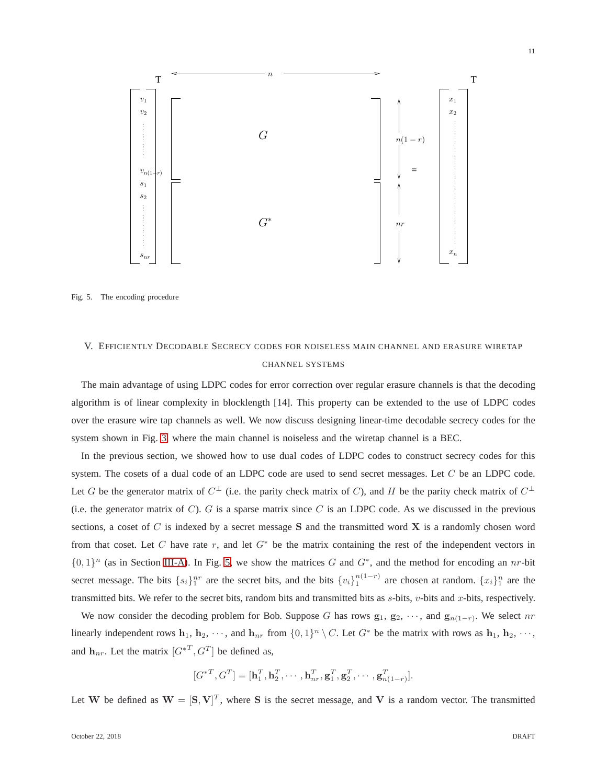

<span id="page-10-1"></span><span id="page-10-0"></span>Fig. 5. The encoding procedure

## V. EFFICIENTLY DECODABLE SECRECY CODES FOR NOISELESS MAIN CHANNEL AND ERASURE WIRETAP CHANNEL SYSTEMS

The main advantage of using LDPC codes for error correction over regular erasure channels is that the decoding algorithm is of linear complexity in blocklength [14]. This property can be extended to the use of LDPC codes over the erasure wire tap channels as well. We now discuss designing linear-time decodable secrecy codes for the system shown in Fig. [3,](#page-7-0) where the main channel is noiseless and the wiretap channel is a BEC.

In the previous section, we showed how to use dual codes of LDPC codes to construct secrecy codes for this system. The cosets of a dual code of an LDPC code are used to send secret messages. Let C be an LDPC code. Let G be the generator matrix of  $C^{\perp}$  (i.e. the parity check matrix of C), and H be the parity check matrix of  $C^{\perp}$ (i.e. the generator matrix of  $C$ ). G is a sparse matrix since C is an LDPC code. As we discussed in the previous sections, a coset of  $C$  is indexed by a secret message  $S$  and the transmitted word  $X$  is a randomly chosen word from that coset. Let C have rate r, and let  $G^*$  be the matrix containing the rest of the independent vectors in  $\{0,1\}^n$  (as in Section [III-A\)](#page-5-1). In Fig. [5,](#page-10-1) we show the matrices G and  $G^*$ , and the method for encoding an nr-bit secret message. The bits  $\{s_i\}_1^{nr}$  are the secret bits, and the bits  $\{v_i\}_1^{n(1-r)}$  are chosen at random.  $\{x_i\}_1^n$  are the transmitted bits. We refer to the secret bits, random bits and transmitted bits as  $s$ -bits,  $v$ -bits and  $x$ -bits, respectively.

We now consider the decoding problem for Bob. Suppose G has rows  $g_1, g_2, \dots$ , and  $g_{n(1-r)}$ . We select nr linearly independent rows  $\mathbf{h}_1, \mathbf{h}_2, \dots$ , and  $\mathbf{h}_{nr}$  from  $\{0,1\}^n \setminus C$ . Let  $G^*$  be the matrix with rows as  $\mathbf{h}_1, \mathbf{h}_2, \dots$ , and  $\mathbf{h}_{nr}$ . Let the matrix  $[G^{*T}, G^T]$  be defined as,

$$
[G^{*T}, G^T] = [\mathbf{h}_1^T, \mathbf{h}_2^T, \cdots, \mathbf{h}_{nr}^T, \mathbf{g}_1^T, \mathbf{g}_2^T, \cdots, \mathbf{g}_{n(1-r)}^T].
$$

Let W be defined as  $W = [S, V]^T$ , where S is the secret message, and V is a random vector. The transmitted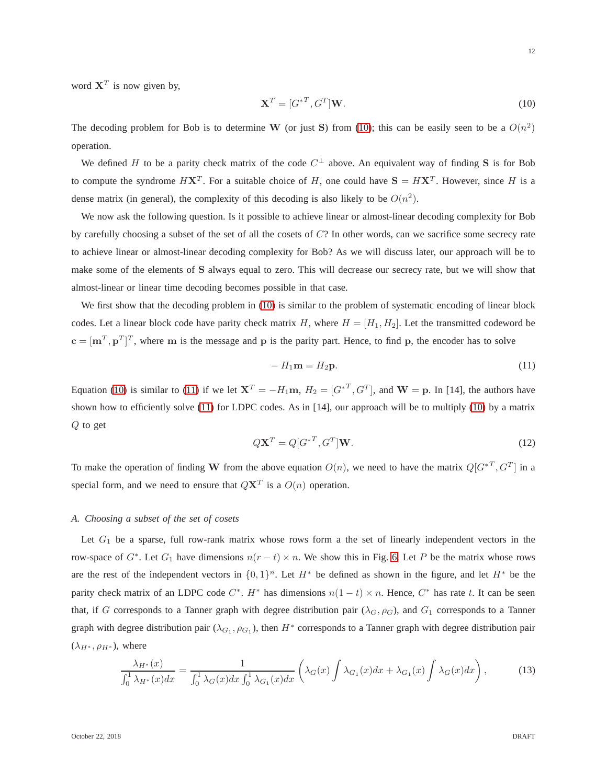word  $X^T$  is now given by,

<span id="page-11-0"></span>
$$
\mathbf{X}^T = [G^{*T}, G^T] \mathbf{W}.
$$
 (10)

The decoding problem for Bob is to determine W (or just S) from [\(10\)](#page-11-0); this can be easily seen to be a  $O(n^2)$ operation.

We defined H to be a parity check matrix of the code  $C^{\perp}$  above. An equivalent way of finding S is for Bob to compute the syndrome  $H X^T$ . For a suitable choice of H, one could have  $S = H X^T$ . However, since H is a dense matrix (in general), the complexity of this decoding is also likely to be  $O(n^2)$ .

We now ask the following question. Is it possible to achieve linear or almost-linear decoding complexity for Bob by carefully choosing a subset of the set of all the cosets of C? In other words, can we sacrifice some secrecy rate to achieve linear or almost-linear decoding complexity for Bob? As we will discuss later, our approach will be to make some of the elements of S always equal to zero. This will decrease our secrecy rate, but we will show that almost-linear or linear time decoding becomes possible in that case.

We first show that the decoding problem in [\(10\)](#page-11-0) is similar to the problem of systematic encoding of linear block codes. Let a linear block code have parity check matrix H, where  $H = [H_1, H_2]$ . Let the transmitted codeword be  $\mathbf{c} = [\mathbf{m}^T, \mathbf{p}^T]^T$ , where m is the message and p is the parity part. Hence, to find p, the encoder has to solve

<span id="page-11-1"></span>
$$
-H_1 \mathbf{m} = H_2 \mathbf{p}.\tag{11}
$$

Equation [\(10\)](#page-11-0) is similar to [\(11\)](#page-11-1) if we let  $X^T = -H_1m$ ,  $H_2 = [G^{*T}, G^T]$ , and  $W = p$ . In [14], the authors have shown how to efficiently solve [\(11\)](#page-11-1) for LDPC codes. As in [14], our approach will be to multiply [\(10\)](#page-11-0) by a matrix Q to get

$$
Q\mathbf{X}^T = Q[G^{\ast T}, G^T]\mathbf{W}.
$$
\n(12)

To make the operation of finding W from the above equation  $O(n)$ , we need to have the matrix  $Q[G^{*T}, G^T]$  in a special form, and we need to ensure that  $QX<sup>T</sup>$  is a  $O(n)$  operation.

## *A. Choosing a subset of the set of cosets*

Let  $G_1$  be a sparse, full row-rank matrix whose rows form a the set of linearly independent vectors in the row-space of  $G^*$ . Let  $G_1$  have dimensions  $n(r-t) \times n$ . We show this in Fig. [6.](#page-12-0) Let P be the matrix whose rows are the rest of the independent vectors in  $\{0,1\}^n$ . Let  $H^*$  be defined as shown in the figure, and let  $H^*$  be the parity check matrix of an LDPC code  $C^*$ .  $H^*$  has dimensions  $n(1-t) \times n$ . Hence,  $C^*$  has rate t. It can be seen that, if G corresponds to a Tanner graph with degree distribution pair  $(\lambda_G, \rho_G)$ , and  $G_1$  corresponds to a Tanner graph with degree distribution pair  $(\lambda_{G_1}, \rho_{G_1})$ , then  $H^*$  corresponds to a Tanner graph with degree distribution pair  $(\lambda_{H^*}, \rho_{H^*})$ , where

<span id="page-11-2"></span>
$$
\frac{\lambda_{H^*}(x)}{\int_0^1 \lambda_{H^*}(x)dx} = \frac{1}{\int_0^1 \lambda_G(x)dx \int_0^1 \lambda_{G_1}(x)dx} \left( \lambda_G(x) \int \lambda_{G_1}(x)dx + \lambda_{G_1}(x) \int \lambda_G(x)dx \right),\tag{13}
$$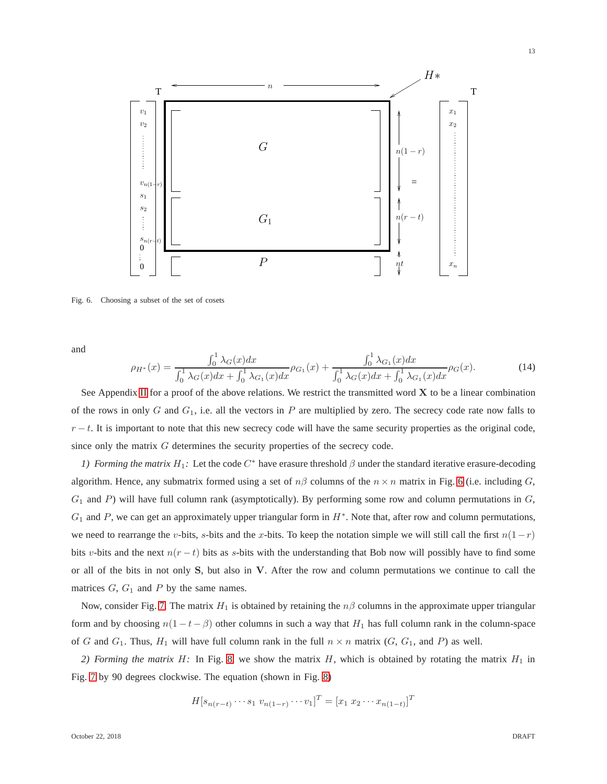

<span id="page-12-0"></span>Fig. 6. Choosing a subset of the set of cosets

and

<span id="page-12-1"></span>
$$
\rho_{H^*}(x) = \frac{\int_0^1 \lambda_G(x)dx}{\int_0^1 \lambda_G(x)dx + \int_0^1 \lambda_{G_1}(x)dx} \rho_{G_1}(x) + \frac{\int_0^1 \lambda_{G_1}(x)dx}{\int_0^1 \lambda_G(x)dx + \int_0^1 \lambda_{G_1}(x)dx} \rho_G(x).
$$
(14)

See Appendix [II](#page-27-0) for a proof of the above relations. We restrict the transmitted word  $X$  to be a linear combination of the rows in only G and  $G_1$ , i.e. all the vectors in P are multiplied by zero. The secrecy code rate now falls to  $r - t$ . It is important to note that this new secrecy code will have the same security properties as the original code, since only the matrix G determines the security properties of the secrecy code.

*1) Forming the matrix*  $H_1$ : Let the code  $C^*$  have erasure threshold  $\beta$  under the standard iterative erasure-decoding algorithm. Hence, any submatrix formed using a set of  $n\beta$  columns of the  $n \times n$  matrix in Fig. [6](#page-12-0) (i.e. including G,  $G_1$  and P) will have full column rank (asymptotically). By performing some row and column permutations in  $G$ ,  $G_1$  and P, we can get an approximately upper triangular form in  $H^*$ . Note that, after row and column permutations, we need to rearrange the v-bits, s-bits and the x-bits. To keep the notation simple we will still call the first  $n(1-r)$ bits v-bits and the next  $n(r - t)$  bits as s-bits with the understanding that Bob now will possibly have to find some or all of the bits in not only S, but also in V. After the row and column permutations we continue to call the matrices  $G, G_1$  and  $P$  by the same names.

Now, consider Fig. [7.](#page-13-0) The matrix  $H_1$  is obtained by retaining the  $n\beta$  columns in the approximate upper triangular form and by choosing  $n(1 - t - \beta)$  other columns in such a way that  $H_1$  has full column rank in the column-space of G and  $G_1$ . Thus,  $H_1$  will have full column rank in the full  $n \times n$  matrix  $(G, G_1,$  and P) as well.

2) Forming the matrix  $H$ : In Fig. [8,](#page-13-1) we show the matrix  $H$ , which is obtained by rotating the matrix  $H_1$  in Fig. [7](#page-13-0) by 90 degrees clockwise. The equation (shown in Fig. [8\)](#page-13-1)

$$
H[s_{n(r-t)} \cdots s_1 \, v_{n(1-r)} \cdots v_1]^T = [x_1 \, x_2 \cdots x_{n(1-t)}]^T
$$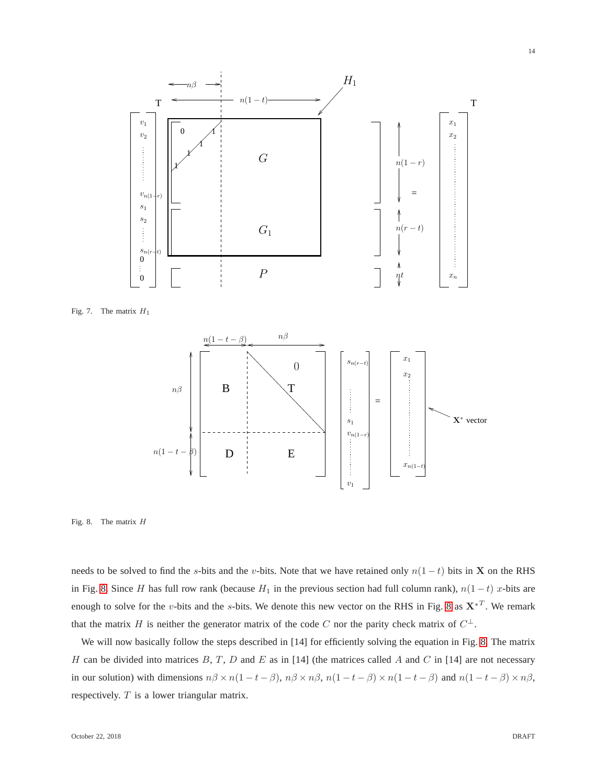

<span id="page-13-0"></span>Fig. 7. The matrix  $H_1$ 



<span id="page-13-1"></span>Fig. 8. The matrix H

needs to be solved to find the s-bits and the v-bits. Note that we have retained only  $n(1-t)$  bits in X on the RHS in Fig. [8.](#page-13-1) Since H has full row rank (because  $H_1$  in the previous section had full column rank),  $n(1-t)$  x-bits are enough to solve for the *v*-bits and the *s*-bits. We denote this new vector on the RHS in Fig. [8](#page-13-1) as  $X^{T}$ . We remark that the matrix H is neither the generator matrix of the code C nor the parity check matrix of  $C^{\perp}$ .

We will now basically follow the steps described in [14] for efficiently solving the equation in Fig. [8.](#page-13-1) The matrix H can be divided into matrices B, T, D and E as in [14] (the matrices called A and C in [14] are not necessary in our solution) with dimensions  $n\beta \times n(1 - t - \beta)$ ,  $n\beta \times n\beta$ ,  $n(1 - t - \beta) \times n(1 - t - \beta)$  and  $n(1 - t - \beta) \times n\beta$ , respectively. T is a lower triangular matrix.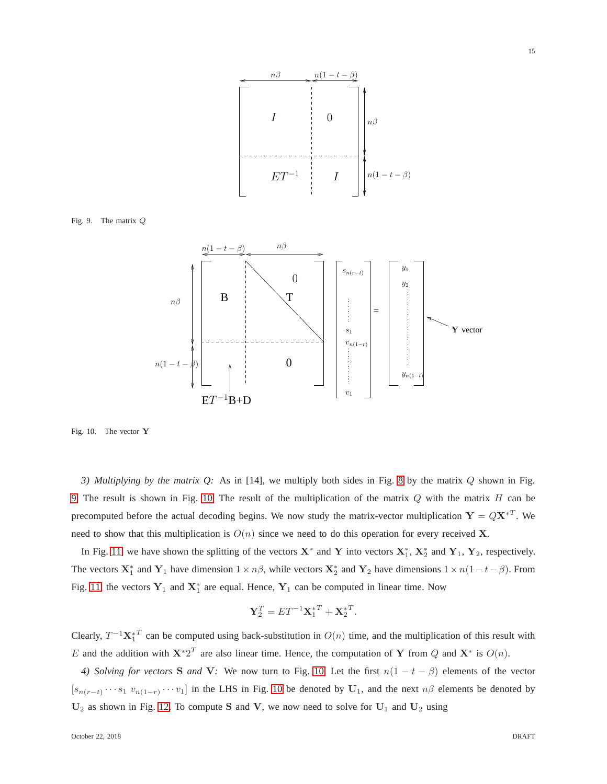

<span id="page-14-0"></span>Fig. 9. The matrix Q



<span id="page-14-1"></span>Fig. 10. The vector Y

*3) Multiplying by the matrix Q:* As in [14], we multiply both sides in Fig. [8](#page-13-1) by the matrix Q shown in Fig. [9.](#page-14-0) The result is shown in Fig. [10.](#page-14-1) The result of the multiplication of the matrix  $Q$  with the matrix  $H$  can be precomputed before the actual decoding begins. We now study the matrix-vector multiplication  $Y = QX^*{}^T$ . We need to show that this multiplication is  $O(n)$  since we need to do this operation for every received **X**.

In Fig. [11,](#page-15-0) we have shown the splitting of the vectors  $X^*$  and Y into vectors  $X_1^*$ ,  $X_2^*$  and Y<sub>1</sub>, Y<sub>2</sub>, respectively. The vectors  $X_1^*$  and  $Y_1$  have dimension  $1 \times n\beta$ , while vectors  $X_2^*$  and  $Y_2$  have dimensions  $1 \times n(1-t-\beta)$ . From Fig. [11,](#page-15-0) the vectors  $Y_1$  and  $X_1^*$  are equal. Hence,  $Y_1$  can be computed in linear time. Now

$$
\mathbf{Y}_2^T = ET^{-1}\mathbf{X}_1^{*T} + \mathbf{X}_2^{*T}.
$$

Clearly,  $T^{-1}X_1^{*T}$  can be computed using back-substitution in  $O(n)$  time, and the multiplication of this result with E and the addition with  $X^*2^T$  are also linear time. Hence, the computation of Y from Q and  $X^*$  is  $O(n)$ .

*4) Solving for vectors* S *and* V: We now turn to Fig. [10.](#page-14-1) Let the first  $n(1 - t - \beta)$  elements of the vector  $[s_{n(r-t)} \cdots s_1 \ v_{n(1-r)} \cdots v_1]$  in the LHS in Fig. [10](#page-14-1) be denoted by  $U_1$ , and the next  $n\beta$  elements be denoted by  $U_2$  as shown in Fig. [12.](#page-15-1) To compute S and V, we now need to solve for  $U_1$  and  $U_2$  using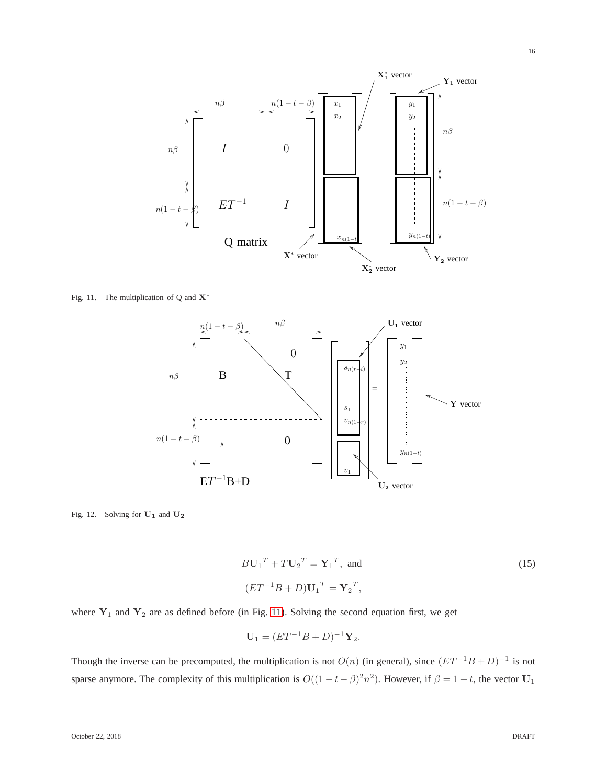

Fig. 11. The multiplication of Q and  $X^*$ 

<span id="page-15-0"></span>

<span id="page-15-1"></span>Fig. 12. Solving for  $U_1$  and  $U_2$ 

<span id="page-15-2"></span>
$$
B\mathbf{U}_1^T + T\mathbf{U}_2^T = \mathbf{Y}_1^T, \text{ and}
$$
  

$$
(ET^{-1}B + D)\mathbf{U}_1^T = \mathbf{Y}_2^T,
$$
 (15)

where  $Y_1$  and  $Y_2$  are as defined before (in Fig. [11\)](#page-15-0). Solving the second equation first, we get

$$
\mathbf{U}_1 = (ET^{-1}B + D)^{-1}\mathbf{Y}_2.
$$

Though the inverse can be precomputed, the multiplication is not  $O(n)$  (in general), since  $(ET^{-1}B+D)^{-1}$  is not sparse anymore. The complexity of this multiplication is  $O((1 - t - \beta)^2 n^2)$ . However, if  $\beta = 1 - t$ , the vector  $U_1$ 

16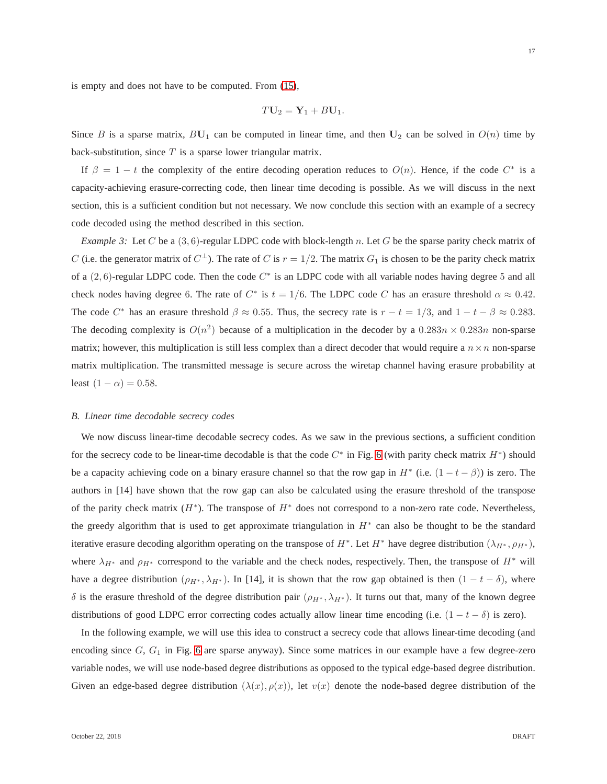is empty and does not have to be computed. From [\(15\)](#page-15-2),

$$
T\mathbf{U}_2=\mathbf{Y}_1+B\mathbf{U}_1.
$$

Since B is a sparse matrix,  $BU_1$  can be computed in linear time, and then  $U_2$  can be solved in  $O(n)$  time by back-substitution, since  $T$  is a sparse lower triangular matrix.

If  $\beta = 1 - t$  the complexity of the entire decoding operation reduces to  $O(n)$ . Hence, if the code  $C^*$  is a capacity-achieving erasure-correcting code, then linear time decoding is possible. As we will discuss in the next section, this is a sufficient condition but not necessary. We now conclude this section with an example of a secrecy code decoded using the method described in this section.

*Example 3:* Let C be a (3,6)-regular LDPC code with block-length n. Let G be the sparse parity check matrix of C (i.e. the generator matrix of  $C^{\perp}$ ). The rate of C is  $r = 1/2$ . The matrix  $G_1$  is chosen to be the parity check matrix of a  $(2, 6)$ -regular LDPC code. Then the code  $C^*$  is an LDPC code with all variable nodes having degree 5 and all check nodes having degree 6. The rate of  $C^*$  is  $t = 1/6$ . The LDPC code C has an erasure threshold  $\alpha \approx 0.42$ . The code  $C^*$  has an erasure threshold  $\beta \approx 0.55$ . Thus, the secrecy rate is  $r - t = 1/3$ , and  $1 - t - \beta \approx 0.283$ . The decoding complexity is  $O(n^2)$  because of a multiplication in the decoder by a  $0.283n \times 0.283n$  non-sparse matrix; however, this multiplication is still less complex than a direct decoder that would require a  $n \times n$  non-sparse matrix multiplication. The transmitted message is secure across the wiretap channel having erasure probability at least  $(1 - \alpha) = 0.58$ .

#### *B. Linear time decodable secrecy codes*

We now discuss linear-time decodable secrecy codes. As we saw in the previous sections, a sufficient condition for the secrecy code to be linear-time decodable is that the code  $C^*$  in Fig. [6](#page-12-0) (with parity check matrix  $H^*$ ) should be a capacity achieving code on a binary erasure channel so that the row gap in  $H^*$  (i.e.  $(1 - t - \beta)$ ) is zero. The authors in [14] have shown that the row gap can also be calculated using the erasure threshold of the transpose of the parity check matrix  $(H^*)$ . The transpose of  $H^*$  does not correspond to a non-zero rate code. Nevertheless, the greedy algorithm that is used to get approximate triangulation in  $H^*$  can also be thought to be the standard iterative erasure decoding algorithm operating on the transpose of  $H^*$ . Let  $H^*$  have degree distribution  $(\lambda_{H^*}, \rho_{H^*})$ , where  $\lambda_{H^*}$  and  $\rho_{H^*}$  correspond to the variable and the check nodes, respectively. Then, the transpose of  $H^*$  will have a degree distribution ( $\rho_{H^*}, \lambda_{H^*}$ ). In [14], it is shown that the row gap obtained is then  $(1 - t - \delta)$ , where  $\delta$  is the erasure threshold of the degree distribution pair ( $\rho_{H^*}, \lambda_{H^*}$ ). It turns out that, many of the known degree distributions of good LDPC error correcting codes actually allow linear time encoding (i.e.  $(1 - t - \delta)$ ) is zero).

In the following example, we will use this idea to construct a secrecy code that allows linear-time decoding (and encoding since  $G$ ,  $G_1$  in Fig. [6](#page-12-0) are sparse anyway). Since some matrices in our example have a few degree-zero variable nodes, we will use node-based degree distributions as opposed to the typical edge-based degree distribution. Given an edge-based degree distribution  $(\lambda(x), \rho(x))$ , let  $v(x)$  denote the node-based degree distribution of the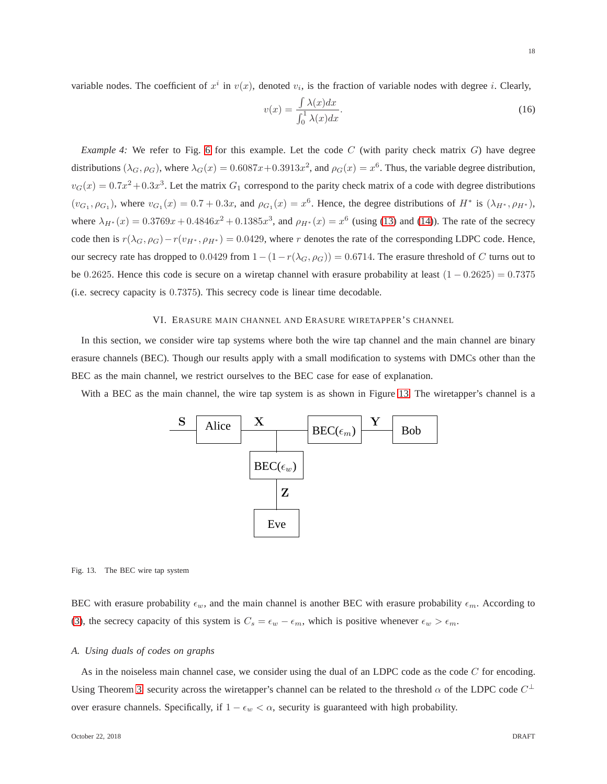$$
v(x) = \frac{\int \lambda(x)dx}{\int_0^1 \lambda(x)dx}.
$$
\n(16)

*Example 4:* We refer to Fig. [6](#page-12-0) for this example. Let the code C (with parity check matrix G) have degree distributions  $(\lambda_G, \rho_G)$ , where  $\lambda_G(x) = 0.6087x + 0.3913x^2$ , and  $\rho_G(x) = x^6$ . Thus, the variable degree distribution,  $v_G(x) = 0.7x^2 + 0.3x^3$ . Let the matrix  $G_1$  correspond to the parity check matrix of a code with degree distributions  $(v_{G_1}, \rho_{G_1})$ , where  $v_{G_1}(x) = 0.7 + 0.3x$ , and  $\rho_{G_1}(x) = x^6$ . Hence, the degree distributions of  $H^*$  is  $(\lambda_{H^*}, \rho_{H^*})$ , where  $\lambda_{H^*}(x) = 0.3769x + 0.4846x^2 + 0.1385x^3$ , and  $\rho_{H^*}(x) = x^6$  (using [\(13\)](#page-11-2) and [\(14\)](#page-12-1)). The rate of the secrecy code then is  $r(\lambda_G, \rho_G) - r(v_{H^*}, \rho_{H^*}) = 0.0429$ , where r denotes the rate of the corresponding LDPC code. Hence, our secrecy rate has dropped to 0.0429 from  $1-(1-r(\lambda_G, \rho_G)) = 0.6714$ . The erasure threshold of C turns out to be 0.2625. Hence this code is secure on a wiretap channel with erasure probability at least  $(1 - 0.2625) = 0.7375$ (i.e. secrecy capacity is 0.7375). This secrecy code is linear time decodable.

## VI. ERASURE MAIN CHANNEL AND ERASURE WIRETAPPER'S CHANNEL

<span id="page-17-0"></span>In this section, we consider wire tap systems where both the wire tap channel and the main channel are binary erasure channels (BEC). Though our results apply with a small modification to systems with DMCs other than the BEC as the main channel, we restrict ourselves to the BEC case for ease of explanation.

With a BEC as the main channel, the wire tap system is as shown in Figure [13.](#page-17-1) The wiretapper's channel is a



<span id="page-17-1"></span>Fig. 13. The BEC wire tap system

BEC with erasure probability  $\epsilon_w$ , and the main channel is another BEC with erasure probability  $\epsilon_m$ . According to [\(3\)](#page-3-2), the secrecy capacity of this system is  $C_s = \epsilon_w - \epsilon_m$ , which is positive whenever  $\epsilon_w > \epsilon_m$ .

## *A. Using duals of codes on graphs*

As in the noiseless main channel case, we consider using the dual of an LDPC code as the code C for encoding. Using Theorem [3,](#page-9-0) security across the wiretapper's channel can be related to the threshold  $\alpha$  of the LDPC code  $C^{\perp}$ over erasure channels. Specifically, if  $1 - \epsilon_w < \alpha$ , security is guaranteed with high probability.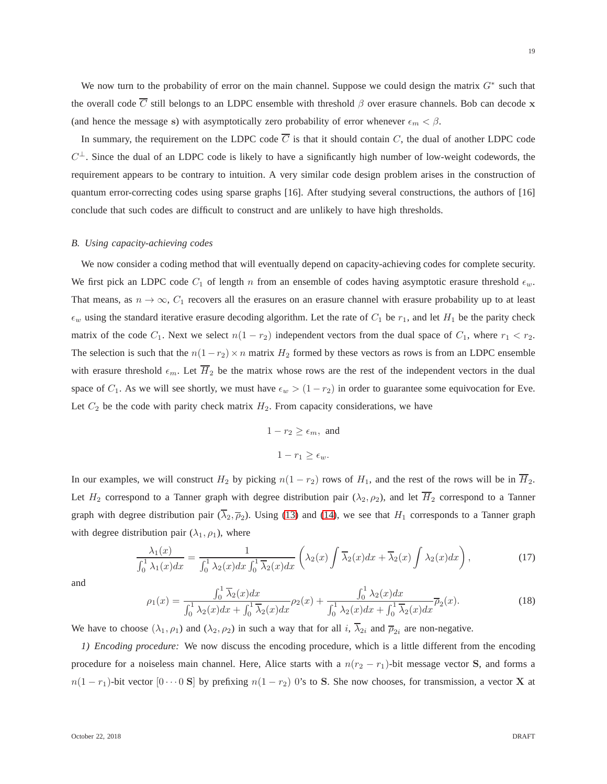19

We now turn to the probability of error on the main channel. Suppose we could design the matrix  $G^*$  such that the overall code  $\overline{C}$  still belongs to an LDPC ensemble with threshold  $\beta$  over erasure channels. Bob can decode x (and hence the message s) with asymptotically zero probability of error whenever  $\epsilon_m < \beta$ .

In summary, the requirement on the LDPC code  $\overline{C}$  is that it should contain C, the dual of another LDPC code  $C^{\perp}$ . Since the dual of an LDPC code is likely to have a significantly high number of low-weight codewords, the requirement appears to be contrary to intuition. A very similar code design problem arises in the construction of quantum error-correcting codes using sparse graphs [16]. After studying several constructions, the authors of [16] conclude that such codes are difficult to construct and are unlikely to have high thresholds.

## *B. Using capacity-achieving codes*

We now consider a coding method that will eventually depend on capacity-achieving codes for complete security. We first pick an LDPC code  $C_1$  of length n from an ensemble of codes having asymptotic erasure threshold  $\epsilon_w$ . That means, as  $n \to \infty$ ,  $C_1$  recovers all the erasures on an erasure channel with erasure probability up to at least  $\epsilon_w$  using the standard iterative erasure decoding algorithm. Let the rate of  $C_1$  be  $r_1$ , and let  $H_1$  be the parity check matrix of the code  $C_1$ . Next we select  $n(1 - r_2)$  independent vectors from the dual space of  $C_1$ , where  $r_1 < r_2$ . The selection is such that the  $n(1-r_2) \times n$  matrix  $H_2$  formed by these vectors as rows is from an LDPC ensemble with erasure threshold  $\epsilon_m$ . Let  $\overline{H}_2$  be the matrix whose rows are the rest of the independent vectors in the dual space of  $C_1$ . As we will see shortly, we must have  $\epsilon_w > (1 - r_2)$  in order to guarantee some equivocation for Eve. Let  $C_2$  be the code with parity check matrix  $H_2$ . From capacity considerations, we have

$$
1 - r_2 \ge \epsilon_m, \text{ and}
$$
  

$$
1 - r_1 \ge \epsilon_w.
$$

In our examples, we will construct  $H_2$  by picking  $n(1 - r_2)$  rows of  $H_1$ , and the rest of the rows will be in  $\overline{H}_2$ . Let  $H_2$  correspond to a Tanner graph with degree distribution pair  $(\lambda_2, \rho_2)$ , and let  $\overline{H}_2$  correspond to a Tanner graph with degree distribution pair  $(\lambda_2, \overline{\rho}_2)$ . Using [\(13\)](#page-11-2) and [\(14\)](#page-12-1), we see that  $H_1$  corresponds to a Tanner graph with degree distribution pair  $(\lambda_1, \rho_1)$ , where

<span id="page-18-0"></span>
$$
\frac{\lambda_1(x)}{\int_0^1 \lambda_1(x)dx} = \frac{1}{\int_0^1 \lambda_2(x)dx \int_0^1 \overline{\lambda}_2(x)dx} \left( \lambda_2(x) \int \overline{\lambda}_2(x)dx + \overline{\lambda}_2(x) \int \lambda_2(x)dx \right),\tag{17}
$$

and

<span id="page-18-1"></span>
$$
\rho_1(x) = \frac{\int_0^1 \overline{\lambda}_2(x) dx}{\int_0^1 \lambda_2(x) dx + \int_0^1 \overline{\lambda}_2(x) dx} \rho_2(x) + \frac{\int_0^1 \lambda_2(x) dx}{\int_0^1 \lambda_2(x) dx + \int_0^1 \overline{\lambda}_2(x) dx} \overline{\rho}_2(x).
$$
 (18)

We have to choose  $(\lambda_1, \rho_1)$  and  $(\lambda_2, \rho_2)$  in such a way that for all i,  $\lambda_{2i}$  and  $\overline{\rho}_{2i}$  are non-negative.

*1) Encoding procedure:* We now discuss the encoding procedure, which is a little different from the encoding procedure for a noiseless main channel. Here, Alice starts with a  $n(r_2 - r_1)$ -bit message vector S, and forms a  $n(1 - r_1)$ -bit vector  $[0 \cdots 0 \text{ S}]$  by prefixing  $n(1 - r_2)$  0's to S. She now chooses, for transmission, a vector X at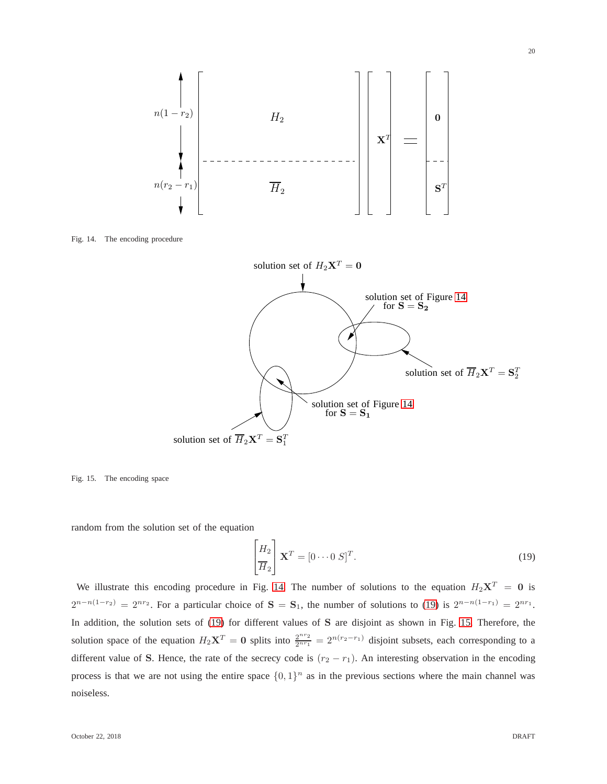<span id="page-19-0"></span>

<span id="page-19-2"></span>Fig. 15. The encoding space

random from the solution set of the equation

<span id="page-19-1"></span>
$$
\begin{bmatrix} H_2 \\ \overline{H}_2 \end{bmatrix} \mathbf{X}^T = [0 \cdots 0 \ S]^T.
$$
 (19)

We illustrate this encoding procedure in Fig. [14.](#page-19-0) The number of solutions to the equation  $H_2 \mathbf{X}^T = \mathbf{0}$  is  $2^{n-n(1-r_2)} = 2^{nr_2}$ . For a particular choice of  $S = S_1$ , the number of solutions to [\(19\)](#page-19-1) is  $2^{n-n(1-r_1)} = 2^{nr_1}$ . In addition, the solution sets of [\(19\)](#page-19-1) for different values of S are disjoint as shown in Fig. [15.](#page-19-2) Therefore, the solution space of the equation  $H_2 \mathbf{X}^T = \mathbf{0}$  splits into  $\frac{2^{n r_2}}{2^{n r_1}}$  $\frac{2^{n r_2}}{2^{n r_1}} = 2^{n(r_2 - r_1)}$  disjoint subsets, each corresponding to a different value of S. Hence, the rate of the secrecy code is  $(r_2 - r_1)$ . An interesting observation in the encoding process is that we are not using the entire space  $\{0,1\}^n$  as in the previous sections where the main channel was noiseless.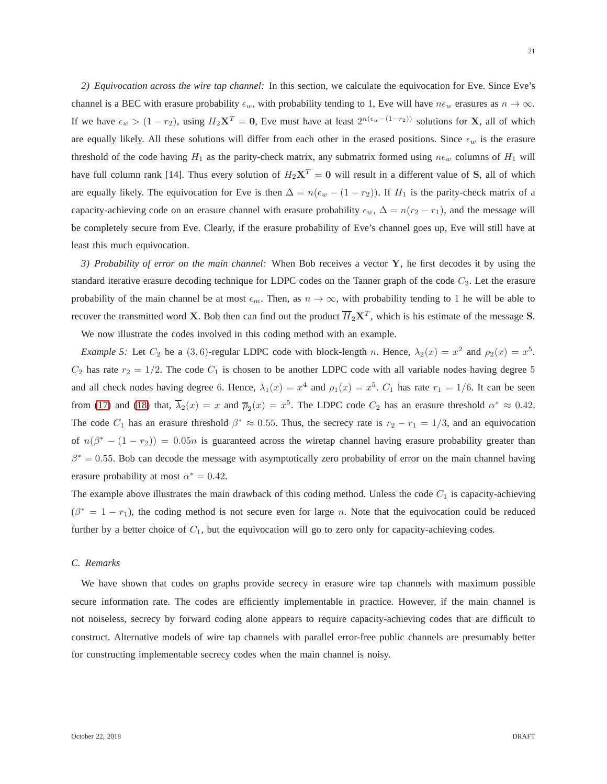*2) Equivocation across the wire tap channel:* In this section, we calculate the equivocation for Eve. Since Eve's channel is a BEC with erasure probability  $\epsilon_w$ , with probability tending to 1, Eve will have  $n\epsilon_w$  erasures as  $n \to \infty$ . If we have  $\epsilon_w > (1 - r_2)$ , using  $H_2 \mathbf{X}^T = \mathbf{0}$ , Eve must have at least  $2^{n(\epsilon_w - (1 - r_2))}$  solutions for **X**, all of which are equally likely. All these solutions will differ from each other in the erased positions. Since  $\epsilon_w$  is the erasure threshold of the code having  $H_1$  as the parity-check matrix, any submatrix formed using  $n\epsilon_w$  columns of  $H_1$  will have full column rank [14]. Thus every solution of  $H_2X^T = 0$  will result in a different value of S, all of which are equally likely. The equivocation for Eve is then  $\Delta = n(\epsilon_w - (1 - r_2))$ . If  $H_1$  is the parity-check matrix of a capacity-achieving code on an erasure channel with erasure probability  $\epsilon_w$ ,  $\Delta = n(r_2 - r_1)$ , and the message will be completely secure from Eve. Clearly, if the erasure probability of Eve's channel goes up, Eve will still have at least this much equivocation.

*3) Probability of error on the main channel:* When Bob receives a vector Y, he first decodes it by using the standard iterative erasure decoding technique for LDPC codes on the Tanner graph of the code  $C_2$ . Let the erasure probability of the main channel be at most  $\epsilon_m$ . Then, as  $n \to \infty$ , with probability tending to 1 he will be able to recover the transmitted word **X**. Bob then can find out the product  $\overline{H}_2 \mathbf{X}^T$ , which is his estimate of the message **S**.

We now illustrate the codes involved in this coding method with an example.

*Example 5:* Let  $C_2$  be a (3,6)-regular LDPC code with block-length n. Hence,  $\lambda_2(x) = x^2$  and  $\rho_2(x) = x^5$ .  $C_2$  has rate  $r_2 = 1/2$ . The code  $C_1$  is chosen to be another LDPC code with all variable nodes having degree 5 and all check nodes having degree 6. Hence,  $\lambda_1(x) = x^4$  and  $\rho_1(x) = x^5$ .  $C_1$  has rate  $r_1 = 1/6$ . It can be seen from [\(17\)](#page-18-0) and [\(18\)](#page-18-1) that,  $\overline{\lambda}_2(x) = x$  and  $\overline{\rho}_2(x) = x^5$ . The LDPC code  $C_2$  has an erasure threshold  $\alpha^* \approx 0.42$ . The code  $C_1$  has an erasure threshold  $\beta^* \approx 0.55$ . Thus, the secrecy rate is  $r_2 - r_1 = 1/3$ , and an equivocation of  $n(\beta^* - (1 - r_2)) = 0.05n$  is guaranteed across the wiretap channel having erasure probability greater than  $\beta^* = 0.55$ . Bob can decode the message with asymptotically zero probability of error on the main channel having erasure probability at most  $\alpha^* = 0.42$ .

The example above illustrates the main drawback of this coding method. Unless the code  $C_1$  is capacity-achieving  $(\beta^* = 1 - r_1)$ , the coding method is not secure even for large n. Note that the equivocation could be reduced further by a better choice of  $C_1$ , but the equivocation will go to zero only for capacity-achieving codes.

## *C. Remarks*

We have shown that codes on graphs provide secrecy in erasure wire tap channels with maximum possible secure information rate. The codes are efficiently implementable in practice. However, if the main channel is not noiseless, secrecy by forward coding alone appears to require capacity-achieving codes that are difficult to construct. Alternative models of wire tap channels with parallel error-free public channels are presumably better for constructing implementable secrecy codes when the main channel is noisy.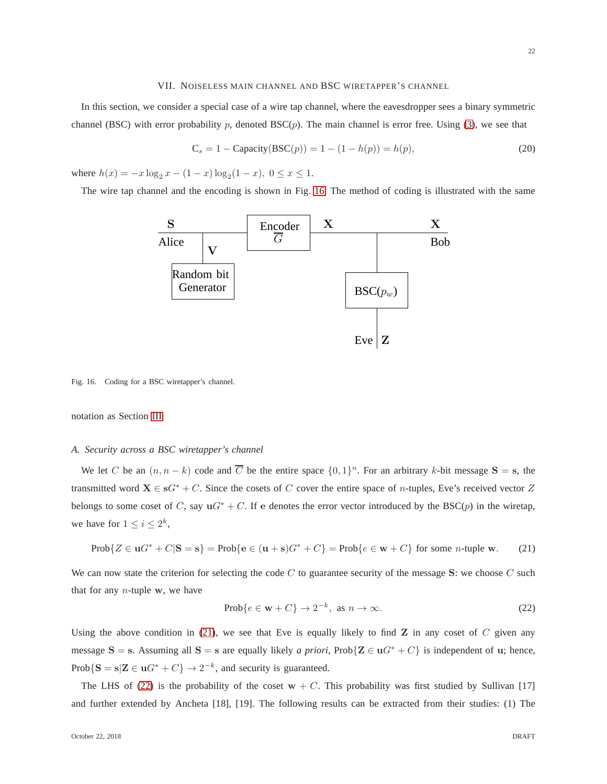#### VII. NOISELESS MAIN CHANNEL AND BSC WIRETAPPER'S CHANNEL

<span id="page-21-0"></span>In this section, we consider a special case of a wire tap channel, where the eavesdropper sees a binary symmetric channel (BSC) with error probability p, denoted  $BSC(p)$ . The main channel is error free. Using [\(3\)](#page-3-2), we see that

$$
C_s = 1 - \text{Capacity}(BSC(p)) = 1 - (1 - h(p)) = h(p),\tag{20}
$$

where  $h(x) = -x \log_2 x - (1 - x) \log_2 (1 - x), 0 \le x \le 1.$ 

The wire tap channel and the encoding is shown in Fig. [16.](#page-21-1) The method of coding is illustrated with the same



<span id="page-21-1"></span>Fig. 16. Coding for a BSC wiretapper's channel.

notation as Section [III.](#page-5-0)

## *A. Security across a BSC wiretapper's channel*

We let C be an  $(n, n-k)$  code and  $\overline{C}$  be the entire space  $\{0, 1\}^n$ . For an arbitrary k-bit message  $S = s$ , the transmitted word  $X \in sG^* + C$ . Since the cosets of C cover the entire space of n-tuples, Eve's received vector Z belongs to some coset of C, say  $uG^* + C$ . If e denotes the error vector introduced by the BSC(p) in the wiretap, we have for  $1 \leq i \leq 2^k$ ,

<span id="page-21-2"></span>
$$
Prob\{Z \in \mathbf{u}G^* + C|\mathbf{S} = \mathbf{s}\} = Prob\{\mathbf{e} \in (\mathbf{u} + \mathbf{s})G^* + C\} = Prob\{e \in \mathbf{w} + C\} \text{ for some } n\text{-tuple } \mathbf{w}. \tag{21}
$$

We can now state the criterion for selecting the code  $C$  to guarantee security of the message  $S$ : we choose  $C$  such that for any  $n$ -tuple w, we have

<span id="page-21-3"></span>
$$
Prob\{e \in \mathbf{w} + C\} \to 2^{-k}, \text{ as } n \to \infty. \tag{22}
$$

Using the above condition in [\(21\)](#page-21-2), we see that Eve is equally likely to find  $Z$  in any coset of  $C$  given any message S = s. Assuming all S = s are equally likely *a priori*, Prob{ $\mathbf{Z} \in \mathbf{u}G^* + C$ } is independent of u; hence, Prob{S = s|Z  $\in$  u $G^*$  +  $C$ }  $\rightarrow$  2<sup>-k</sup>, and security is guaranteed.

The LHS of [\(22\)](#page-21-3) is the probability of the coset  $w + C$ . This probability was first studied by Sullivan [17] and further extended by Ancheta [18], [19]. The following results can be extracted from their studies: (1) The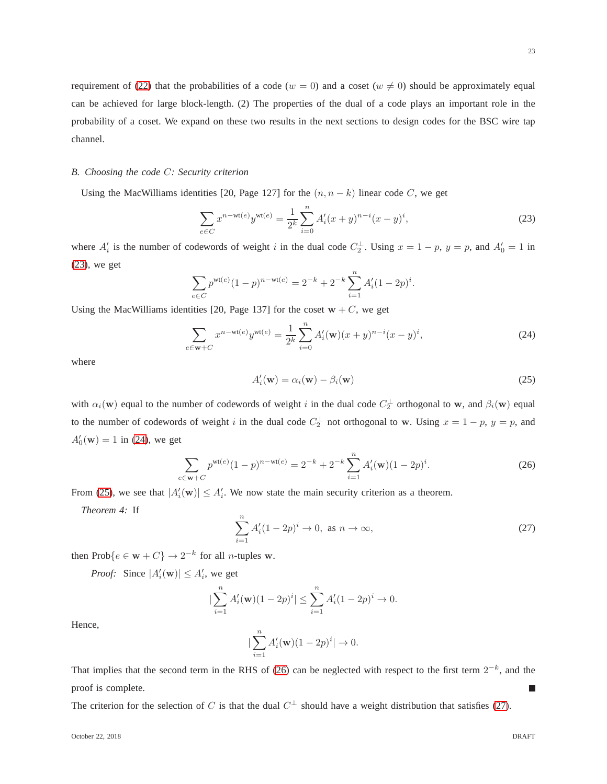requirement of [\(22\)](#page-21-3) that the probabilities of a code ( $w = 0$ ) and a coset ( $w \neq 0$ ) should be approximately equal can be achieved for large block-length. (2) The properties of the dual of a code plays an important role in the probability of a coset. We expand on these two results in the next sections to design codes for the BSC wire tap channel.

## *B. Choosing the code* C*: Security criterion*

Using the MacWilliams identities [20, Page 127] for the  $(n, n - k)$  linear code C, we get

<span id="page-22-0"></span>
$$
\sum_{e \in C} x^{n-\text{wt}(e)} y^{\text{wt}(e)} = \frac{1}{2^k} \sum_{i=0}^n A_i'(x+y)^{n-i} (x-y)^i,
$$
\n(23)

where  $A'_i$  is the number of codewords of weight i in the dual code  $C_2^{\perp}$ . Using  $x = 1 - p$ ,  $y = p$ , and  $A'_0 = 1$  in [\(23\)](#page-22-0), we get

$$
\sum_{e \in C} p^{\text{wt}(e)} (1-p)^{n-\text{wt}(e)} = 2^{-k} + 2^{-k} \sum_{i=1}^{n} A'_i (1-2p)^i.
$$

Using the MacWilliams identities [20, Page 137] for the coset  $w + C$ , we get

<span id="page-22-1"></span>
$$
\sum_{e \in \mathbf{w} + C} x^{n - \text{wt}(e)} y^{\text{wt}(e)} = \frac{1}{2^k} \sum_{i=0}^n A'_i(\mathbf{w})(x+y)^{n-i}(x-y)^i,
$$
\n(24)

where

<span id="page-22-2"></span>
$$
A'_i(\mathbf{w}) = \alpha_i(\mathbf{w}) - \beta_i(\mathbf{w})
$$
\n(25)

with  $\alpha_i(\mathbf{w})$  equal to the number of codewords of weight i in the dual code  $C_2^{\perp}$  orthogonal to w, and  $\beta_i(\mathbf{w})$  equal to the number of codewords of weight i in the dual code  $C_2^{\perp}$  not orthogonal to w. Using  $x = 1 - p$ ,  $y = p$ , and  $A'_0(\mathbf{w}) = 1$  in [\(24\)](#page-22-1), we get

<span id="page-22-3"></span>
$$
\sum_{e \in \mathbf{w} + C} p^{\text{wt}(e)} (1 - p)^{n - \text{wt}(e)} = 2^{-k} + 2^{-k} \sum_{i=1}^{n} A'_i(\mathbf{w}) (1 - 2p)^i.
$$
 (26)

From [\(25\)](#page-22-2), we see that  $|A'_i(\mathbf{w})| \leq A'_i$ . We now state the main security criterion as a theorem.

*Theorem 4:* If

<span id="page-22-4"></span>
$$
\sum_{i=1}^{n} A'_i (1 - 2p)^i \to 0, \text{ as } n \to \infty,
$$
 (27)

then  $\text{Prob}\{e \in \mathbf{w} + C\} \to 2^{-k}$  for all *n*-tuples **w**.

*Proof:* Since  $|A'_i(\mathbf{w})| \leq A'_i$ , we get

$$
|\sum_{i=1}^{n} A'_i(\mathbf{w})(1-2p)^i| \leq \sum_{i=1}^{n} A'_i (1-2p)^i \to 0.
$$

Hence,

$$
|\sum_{i=1}^n A'_i(\mathbf{w})(1-2p)^i| \to 0.
$$

That implies that the second term in the RHS of [\(26\)](#page-22-3) can be neglected with respect to the first term  $2^{-k}$ , and the proof is complete.  $\Box$ 

The criterion for the selection of C is that the dual  $C^{\perp}$  should have a weight distribution that satisfies [\(27\)](#page-22-4).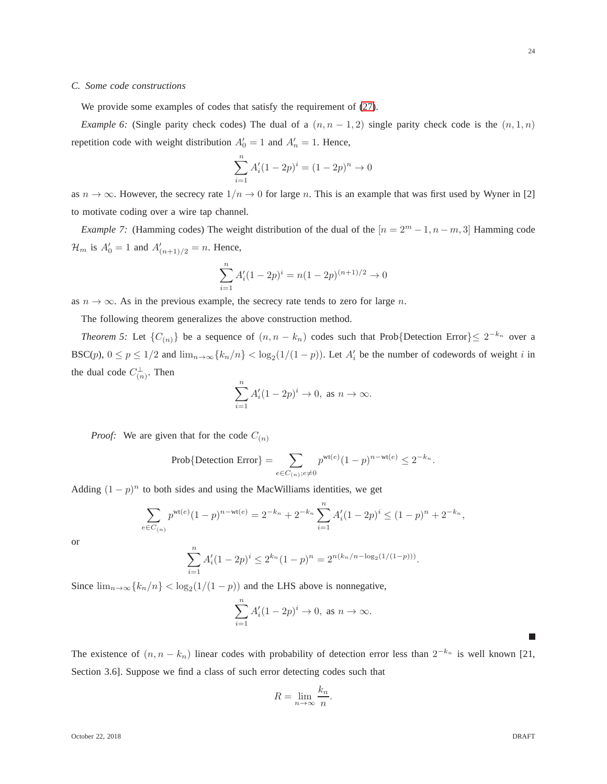We provide some examples of codes that satisfy the requirement of [\(27\)](#page-22-4).

*Example 6:* (Single parity check codes) The dual of a  $(n, n - 1, 2)$  single parity check code is the  $(n, 1, n)$ repetition code with weight distribution  $A'_0 = 1$  and  $A'_n = 1$ . Hence,

$$
\sum_{i=1}^{n} A'_i (1 - 2p)^i = (1 - 2p)^n \to 0
$$

as  $n \to \infty$ . However, the secrecy rate  $1/n \to 0$  for large n. This is an example that was first used by Wyner in [2] to motivate coding over a wire tap channel.

*Example 7:* (Hamming codes) The weight distribution of the dual of the  $[n = 2^m - 1, n - m, 3]$  Hamming code  $\mathcal{H}_m$  is  $A'_0 = 1$  and  $A'_{(n+1)/2} = n$ . Hence,

$$
\sum_{i=1}^{n} A'_i (1 - 2p)^i = n(1 - 2p)^{(n+1)/2} \to 0
$$

as  $n \to \infty$ . As in the previous example, the secrecy rate tends to zero for large n.

The following theorem generalizes the above construction method.

*Theorem 5:* Let  $\{C_{(n)}\}$  be a sequence of  $(n, n - k_n)$  codes such that Prob{Detection Error}  $\leq 2^{-k_n}$  over a BSC(p),  $0 \le p \le 1/2$  and  $\lim_{n\to\infty} \{k_n/n\} < \log_2(1/(1-p))$ . Let  $A'_i$  be the number of codewords of weight i in the dual code  $C_{(n)}^{\perp}$ . Then

$$
\sum_{i=1}^n A_i' (1 - 2p)^i \to 0, \text{ as } n \to \infty.
$$

*Proof:* We are given that for the code  $C_{(n)}$ 

$$
\text{Prob}\{\text{ Detection Error}\} = \sum_{e \in C_{(n)}; e \neq 0} p^{\text{wt}(e)} (1-p)^{n-\text{wt}(e)} \leq 2^{-k_n}.
$$

Adding  $(1 - p)^n$  to both sides and using the MacWilliams identities, we get

$$
\sum_{e \in C_{(n)}} p^{\text{wt}(e)} (1-p)^{n-\text{wt}(e)} = 2^{-k_n} + 2^{-k_n} \sum_{i=1}^n A'_i (1-2p)^i \le (1-p)^n + 2^{-k_n},
$$

or

$$
\sum_{i=1}^{n} A'_i (1 - 2p)^i \le 2^{k_n} (1 - p)^n = 2^{n(k_n/n - \log_2(1/(1-p)))}.
$$

Since  $\lim_{n\to\infty} \{k_n/n\} < \log_2(1/(1-p))$  and the LHS above is nonnegative,

$$
\sum_{i=1}^{n} A'_i (1 - 2p)^i \to 0, \text{ as } n \to \infty.
$$

The existence of  $(n, n - k_n)$  linear codes with probability of detection error less than  $2^{-k_n}$  is well known [21, Section 3.6]. Suppose we find a class of such error detecting codes such that

$$
R = \lim_{n \to \infty} \frac{k_n}{n}.
$$

г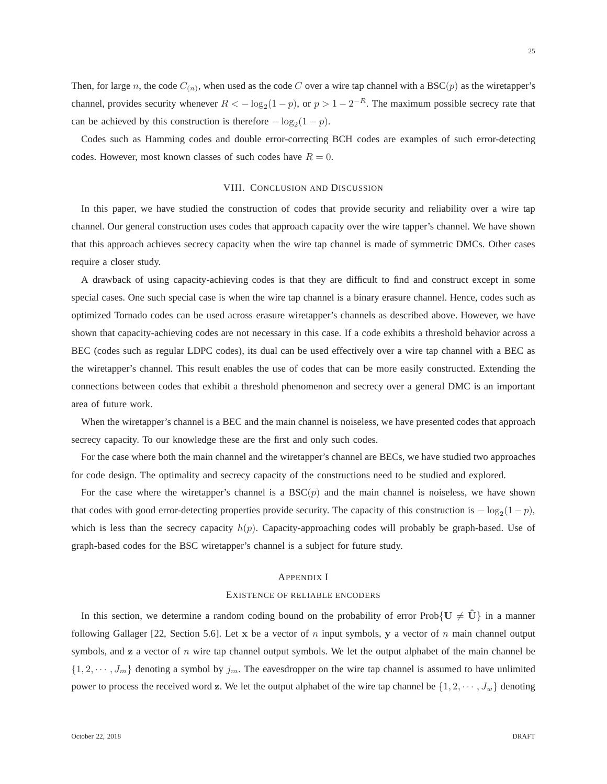Then, for large n, the code  $C_{(n)}$ , when used as the code C over a wire tap channel with a BSC(p) as the wiretapper's channel, provides security whenever  $R < -\log_2(1-p)$ , or  $p > 1-2^{-R}$ . The maximum possible secrecy rate that can be achieved by this construction is therefore  $-\log_2(1-p)$ .

<span id="page-24-0"></span>Codes such as Hamming codes and double error-correcting BCH codes are examples of such error-detecting codes. However, most known classes of such codes have  $R = 0$ .

## VIII. CONCLUSION AND DISCUSSION

In this paper, we have studied the construction of codes that provide security and reliability over a wire tap channel. Our general construction uses codes that approach capacity over the wire tapper's channel. We have shown that this approach achieves secrecy capacity when the wire tap channel is made of symmetric DMCs. Other cases require a closer study.

A drawback of using capacity-achieving codes is that they are difficult to find and construct except in some special cases. One such special case is when the wire tap channel is a binary erasure channel. Hence, codes such as optimized Tornado codes can be used across erasure wiretapper's channels as described above. However, we have shown that capacity-achieving codes are not necessary in this case. If a code exhibits a threshold behavior across a BEC (codes such as regular LDPC codes), its dual can be used effectively over a wire tap channel with a BEC as the wiretapper's channel. This result enables the use of codes that can be more easily constructed. Extending the connections between codes that exhibit a threshold phenomenon and secrecy over a general DMC is an important area of future work.

When the wiretapper's channel is a BEC and the main channel is noiseless, we have presented codes that approach secrecy capacity. To our knowledge these are the first and only such codes.

For the case where both the main channel and the wiretapper's channel are BECs, we have studied two approaches for code design. The optimality and secrecy capacity of the constructions need to be studied and explored.

For the case where the wiretapper's channel is a  $BSC(p)$  and the main channel is noiseless, we have shown that codes with good error-detecting properties provide security. The capacity of this construction is  $-\log_2(1-p)$ , which is less than the secrecy capacity  $h(p)$ . Capacity-approaching codes will probably be graph-based. Use of graph-based codes for the BSC wiretapper's channel is a subject for future study.

## APPENDIX I

#### EXISTENCE OF RELIABLE ENCODERS

<span id="page-24-1"></span>In this section, we determine a random coding bound on the probability of error Prob{ $U \neq \hat{U}$ } in a manner following Gallager [22, Section 5.6]. Let x be a vector of n input symbols, y a vector of n main channel output symbols, and z a vector of n wire tap channel output symbols. We let the output alphabet of the main channel be  $\{1, 2, \dots, J_m\}$  denoting a symbol by  $j_m$ . The eavesdropper on the wire tap channel is assumed to have unlimited power to process the received word z. We let the output alphabet of the wire tap channel be  $\{1, 2, \dots, J_w\}$  denoting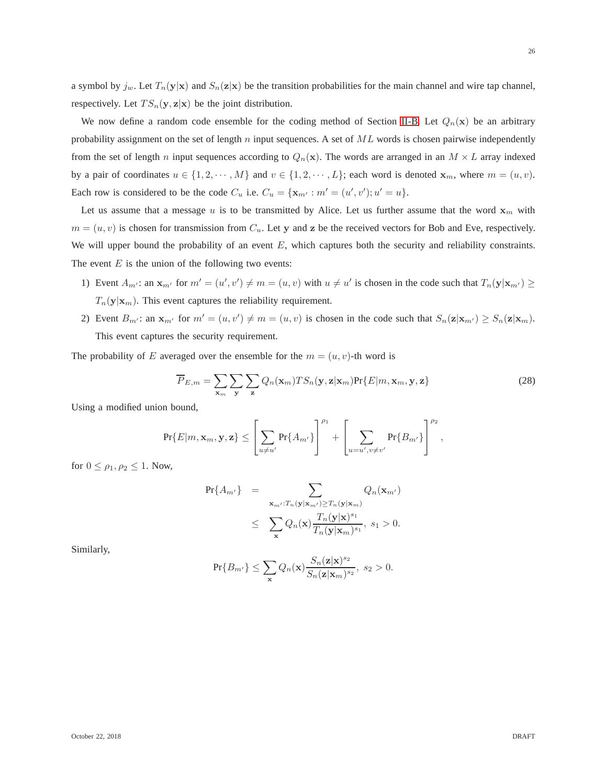a symbol by  $j_w$ . Let  $T_n(y|x)$  and  $S_n(z|x)$  be the transition probabilities for the main channel and wire tap channel, respectively. Let  $TS_n(\mathbf{y}, \mathbf{z}|\mathbf{x})$  be the joint distribution.

We now define a random code ensemble for the coding method of Section [II-B.](#page-3-1) Let  $Q_n(x)$  be an arbitrary probability assignment on the set of length n input sequences. A set of  $ML$  words is chosen pairwise independently from the set of length n input sequences according to  $Q_n(\mathbf{x})$ . The words are arranged in an  $M \times L$  array indexed by a pair of coordinates  $u \in \{1, 2, \dots, M\}$  and  $v \in \{1, 2, \dots, L\}$ ; each word is denoted  $\mathbf{x}_m$ , where  $m = (u, v)$ . Each row is considered to be the code  $C_u$  i.e.  $C_u = {\mathbf{x}_{m'} : m' = (u', v'); u' = u}.$ 

Let us assume that a message u is to be transmitted by Alice. Let us further assume that the word  $x_m$  with  $m = (u, v)$  is chosen for transmission from  $C_u$ . Let y and z be the received vectors for Bob and Eve, respectively. We will upper bound the probability of an event  $E$ , which captures both the security and reliability constraints. The event  $E$  is the union of the following two events:

- 1) Event  $A_{m'}$ : an  $\mathbf{x}_{m'}$  for  $m' = (u', v') \neq m = (u, v)$  with  $u \neq u'$  is chosen in the code such that  $T_n(\mathbf{y}|\mathbf{x}_{m'}) \geq$  $T_n(\mathbf{y}|\mathbf{x}_m)$ . This event captures the reliability requirement.
- 2) Event  $B_{m'}$ : an  $\mathbf{x}_{m'}$  for  $m' = (u, v') \neq m = (u, v)$  is chosen in the code such that  $S_n(\mathbf{z}|\mathbf{x}_{m'}) \geq S_n(\mathbf{z}|\mathbf{x}_m)$ . This event captures the security requirement.

The probability of E averaged over the ensemble for the  $m = (u, v)$ -th word is

<span id="page-25-0"></span>
$$
\overline{P}_{E,m} = \sum_{\mathbf{x}_m} \sum_{\mathbf{y}} \sum_{\mathbf{z}} Q_n(\mathbf{x}_m) T S_n(\mathbf{y}, \mathbf{z} | \mathbf{x}_m) \Pr\{E | m, \mathbf{x}_m, \mathbf{y}, \mathbf{z}\}
$$
(28)

Using a modified union bound,

$$
\Pr\{E|m,\mathbf{x}_m,\mathbf{y},\mathbf{z}\}\leq \left[\sum_{u\neq u'}\Pr\{A_{m'}\}\right]^{\rho_1}+\left[\sum_{u=u',v\neq v'}\Pr\{B_{m'}\}\right]^{\rho_2},
$$

for  $0 \leq \rho_1, \rho_2 \leq 1$ . Now,

$$
Pr{A_{m'} \} = \sum_{\mathbf{x}_{m'}: T_n(\mathbf{y}|\mathbf{x}_{m'}) \ge T_n(\mathbf{y}|\mathbf{x}_m)} Q_n(\mathbf{x}_{m'})
$$
  
 
$$
\le \sum_{\mathbf{x}} Q_n(\mathbf{x}) \frac{T_n(\mathbf{y}|\mathbf{x})^{s_1}}{T_n(\mathbf{y}|\mathbf{x}_m)^{s_1}}, s_1 > 0.
$$

Similarly,

$$
\Pr\{B_{m'}\} \le \sum_{\mathbf{x}} Q_n(\mathbf{x}) \frac{S_n(\mathbf{z}|\mathbf{x})^{s_2}}{S_n(\mathbf{z}|\mathbf{x}_m)^{s_2}}, \ s_2 > 0.
$$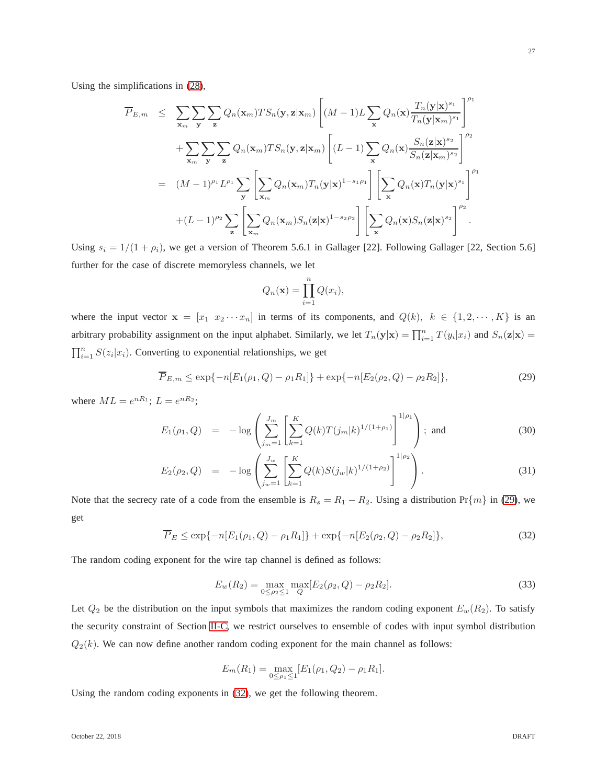Using the simplifications in [\(28\)](#page-25-0),

$$
\overline{P}_{E,m} \leq \sum_{\mathbf{x}_m} \sum_{\mathbf{y}} \sum_{\mathbf{z}} Q_n(\mathbf{x}_m) T S_n(\mathbf{y}, \mathbf{z} | \mathbf{x}_m) \left[ (M-1) L \sum_{\mathbf{x}} Q_n(\mathbf{x}) \frac{T_n(\mathbf{y} | \mathbf{x})^{s_1}}{T_n(\mathbf{y} | \mathbf{x}_m)^{s_1}} \right]^{\rho_1} \n+ \sum_{\mathbf{x}_m} \sum_{\mathbf{y}} \sum_{\mathbf{z}} Q_n(\mathbf{x}_m) T S_n(\mathbf{y}, \mathbf{z} | \mathbf{x}_m) \left[ (L-1) \sum_{\mathbf{x}} Q_n(\mathbf{x}) \frac{S_n(\mathbf{z} | \mathbf{x})^{s_2}}{S_n(\mathbf{z} | \mathbf{x}_m)^{s_2}} \right]^{\rho_2} \n= (M-1)^{\rho_1} L^{\rho_1} \sum_{\mathbf{y}} \left[ \sum_{\mathbf{x}_m} Q_n(\mathbf{x}_m) T_n(\mathbf{y} | \mathbf{x})^{1-s_1 \rho_1} \right] \left[ \sum_{\mathbf{x}} Q_n(\mathbf{x}) T_n(\mathbf{y} | \mathbf{x})^{s_1} \right]^{\rho_1} \n+ (L-1)^{\rho_2} \sum_{\mathbf{z}} \left[ \sum_{\mathbf{x}_m} Q_n(\mathbf{x}_m) S_n(\mathbf{z} | \mathbf{x})^{1-s_2 \rho_2} \right] \left[ \sum_{\mathbf{x}} Q_n(\mathbf{x}) S_n(\mathbf{z} | \mathbf{x})^{s_2} \right]^{\rho_2}.
$$

Using  $s_i = 1/(1 + \rho_i)$ , we get a version of Theorem 5.6.1 in Gallager [22]. Following Gallager [22, Section 5.6] further for the case of discrete memoryless channels, we let

$$
Q_n(\mathbf{x}) = \prod_{i=1}^n Q(x_i),
$$

where the input vector  $x = [x_1 \ x_2 \cdots x_n]$  in terms of its components, and  $Q(k)$ ,  $k \in \{1, 2, \cdots, K\}$  is an arbitrary probability assignment on the input alphabet. Similarly, we let  $T_n(\mathbf{y}|\mathbf{x}) = \prod_{i=1}^n T(y_i|x_i)$  and  $S_n(\mathbf{z}|\mathbf{x}) =$  $\prod_{i=1}^{n} S(z_i|x_i)$ . Converting to exponential relationships, we get

<span id="page-26-0"></span>
$$
\overline{P}_{E,m} \le \exp\{-n[E_1(\rho_1, Q) - \rho_1 R_1]\} + \exp\{-n[E_2(\rho_2, Q) - \rho_2 R_2]\},\tag{29}
$$

where  $ML = e^{nR_1}$ ;  $L = e^{nR_2}$ ;

$$
E_1(\rho_1, Q) = -\log \left( \sum_{j_m=1}^{J_m} \left[ \sum_{k=1}^K Q(k) T(j_m|k)^{1/(1+\rho_1)} \right]^{1/\rho_1} \right); \text{ and } (30)
$$

$$
E_2(\rho_2, Q) = -\log\left(\sum_{j_w=1}^{J_w} \left[\sum_{k=1}^K Q(k)S(j_w|k)^{1/(1+\rho_2)}\right]^{1/\rho_2}\right). \tag{31}
$$

Note that the secrecy rate of a code from the ensemble is  $R_s = R_1 - R_2$ . Using a distribution Pr{m} in [\(29\)](#page-26-0), we get

<span id="page-26-1"></span>
$$
\overline{P}_E \le \exp\{-n[E_1(\rho_1, Q) - \rho_1 R_1]\} + \exp\{-n[E_2(\rho_2, Q) - \rho_2 R_2]\},\tag{32}
$$

The random coding exponent for the wire tap channel is defined as follows:

$$
E_w(R_2) = \max_{0 \le \rho_2 \le 1} \max_Q [E_2(\rho_2, Q) - \rho_2 R_2].
$$
\n(33)

Let  $Q_2$  be the distribution on the input symbols that maximizes the random coding exponent  $E_w(R_2)$ . To satisfy the security constraint of Section [II-C,](#page-5-2) we restrict ourselves to ensemble of codes with input symbol distribution  $Q_2(k)$ . We can now define another random coding exponent for the main channel as follows:

<span id="page-26-2"></span>
$$
E_m(R_1) = \max_{0 \leq \rho_1 \leq 1} [E_1(\rho_1, Q_2) - \rho_1 R_1].
$$

Using the random coding exponents in [\(32\)](#page-26-1), we get the following theorem.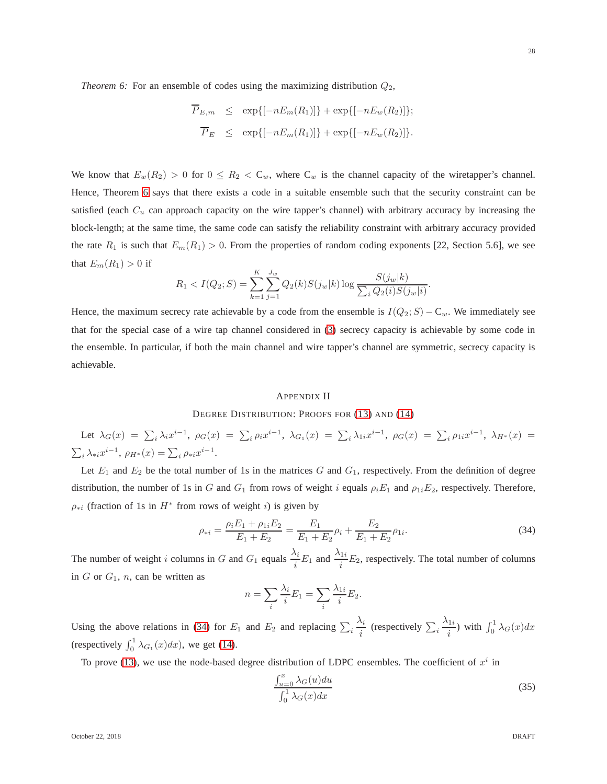*Theorem 6:* For an ensemble of codes using the maximizing distribution  $Q_2$ ,

$$
\overline{P}_{E,m} \le \exp\{[-nE_m(R_1)]\} + \exp\{[-nE_w(R_2)]\};
$$
  

$$
\overline{P}_E \le \exp\{[-nE_m(R_1)]\} + \exp\{[-nE_w(R_2)]\}.
$$

We know that  $E_w(R_2) > 0$  for  $0 \le R_2 < C_w$ , where  $C_w$  is the channel capacity of the wiretapper's channel. Hence, Theorem [6](#page-26-2) says that there exists a code in a suitable ensemble such that the security constraint can be satisfied (each  $C_u$  can approach capacity on the wire tapper's channel) with arbitrary accuracy by increasing the block-length; at the same time, the same code can satisfy the reliability constraint with arbitrary accuracy provided the rate  $R_1$  is such that  $E_m(R_1) > 0$ . From the properties of random coding exponents [22, Section 5.6], we see that  $E_m(R_1) > 0$  if

$$
R_1 < I(Q_2; S) = \sum_{k=1}^{K} \sum_{j=1}^{J_w} Q_2(k) S(j_w|k) \log \frac{S(j_w|k)}{\sum_i Q_2(i) S(j_w|i)}.
$$

Hence, the maximum secrecy rate achievable by a code from the ensemble is  $I(Q_2; S) - C_w$ . We immediately see that for the special case of a wire tap channel considered in [\(3\)](#page-3-2) secrecy capacity is achievable by some code in the ensemble. In particular, if both the main channel and wire tapper's channel are symmetric, secrecy capacity is achievable.

#### APPENDIX II

## DEGREE DISTRIBUTION: PROOFS FOR [\(13\)](#page-11-2) AND [\(14\)](#page-12-1)

<span id="page-27-0"></span>Let  $\lambda_G(x) = \sum_i \lambda_i x^{i-1}$ ,  $\rho_G(x) = \sum_i \rho_i x^{i-1}$ ,  $\lambda_{G_1}(x) = \sum_i \lambda_{1i} x^{i-1}$ ,  $\rho_G(x) = \sum_i \rho_{1i} x^{i-1}$ ,  $\lambda_{H^*}(x) =$  $\sum_i \lambda_{*i} x^{i-1}, \, \rho_{H^*}(x) = \sum_i \rho_{*i} x^{i-1}.$ 

Let  $E_1$  and  $E_2$  be the total number of 1s in the matrices G and  $G_1$ , respectively. From the definition of degree distribution, the number of 1s in G and G<sub>1</sub> from rows of weight i equals  $\rho_i E_1$  and  $\rho_{1i} E_2$ , respectively. Therefore,  $\rho_{*i}$  (fraction of 1s in  $H^*$  from rows of weight i) is given by

<span id="page-27-1"></span>
$$
\rho_{*i} = \frac{\rho_i E_1 + \rho_{1i} E_2}{E_1 + E_2} = \frac{E_1}{E_1 + E_2} \rho_i + \frac{E_2}{E_1 + E_2} \rho_{1i}.
$$
\n(34)

The number of weight i columns in G and  $G_1$  equals  $\frac{\lambda_i}{\lambda_i}$  $\frac{\lambda_i}{i}E_1$  and  $\frac{\lambda_{1i}}{i}$  $\frac{\sum_{i=1}^{n} E_{2}}{i}$ , respectively. The total number of columns in  $G$  or  $G_1$ ,  $n$ , can be written as

$$
n = \sum_{i} \frac{\lambda_i}{i} E_1 = \sum_{i} \frac{\lambda_{1i}}{i} E_2.
$$

Using the above relations in [\(34\)](#page-27-1) for  $E_1$  and  $E_2$  and replacing  $\sum_i$  $\lambda_i$  $\frac{v_i}{i}$  (respectively  $\sum_i$  $\lambda_{1i}$  $\int_{i}^{1i}$ ) with  $\int_{0}^{1} \lambda_G(x) dx$ (respectively  $\int_0^1 \lambda_{G_1}(x) dx$ ), we get [\(14\)](#page-12-1).

To prove [\(13\)](#page-11-2), we use the node-based degree distribution of LDPC ensembles. The coefficient of  $x^i$  in

<span id="page-27-2"></span>
$$
\frac{\int_{u=0}^{x} \lambda_G(u) du}{\int_0^1 \lambda_G(x) dx}
$$
\n(35)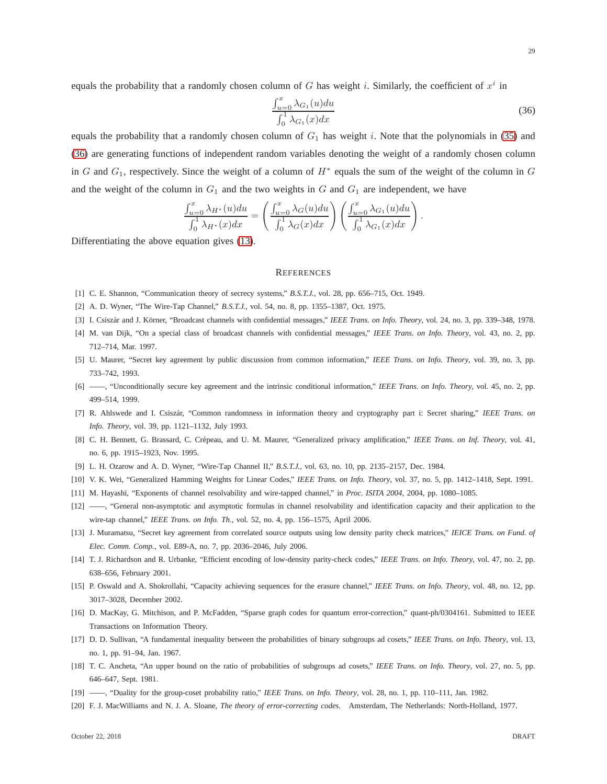<span id="page-28-0"></span>
$$
\frac{\int_{u=0}^{x} \lambda_{G_1}(u) du}{\int_0^1 \lambda_{G_1}(x) dx}
$$
\n(36)

equals the probability that a randomly chosen column of  $G_1$  has weight i. Note that the polynomials in [\(35\)](#page-27-2) and [\(36\)](#page-28-0) are generating functions of independent random variables denoting the weight of a randomly chosen column in G and  $G_1$ , respectively. Since the weight of a column of  $H^*$  equals the sum of the weight of the column in G and the weight of the column in  $G_1$  and the two weights in  $G$  and  $G_1$  are independent, we have

$$
\frac{\int_{u=0}^{x} \lambda_{H^*}(u) du}{\int_0^1 \lambda_{H^*}(x) dx} = \left( \frac{\int_{u=0}^{x} \lambda_G(u) du}{\int_0^1 \lambda_G(x) dx} \right) \left( \frac{\int_{u=0}^{x} \lambda_{G_1}(u) du}{\int_0^1 \lambda_{G_1}(x) dx} \right).
$$

Differentiating the above equation gives [\(13\)](#page-11-2).

## **REFERENCES**

- [1] C. E. Shannon, "Communication theory of secrecy systems," *B.S.T.J.*, vol. 28, pp. 656–715, Oct. 1949.
- [2] A. D. Wyner, "The Wire-Tap Channel," *B.S.T.J.*, vol. 54, no. 8, pp. 1355–1387, Oct. 1975.
- [3] I. Csiszár and J. Körner, "Broadcast channels with confidential messages," *IEEE Trans. on Info. Theory*, vol. 24, no. 3, pp. 339-348, 1978.
- [4] M. van Dijk, "On a special class of broadcast channels with confidential messages," *IEEE Trans. on Info. Theory*, vol. 43, no. 2, pp. 712–714, Mar. 1997.
- [5] U. Maurer, "Secret key agreement by public discussion from common information," *IEEE Trans. on Info. Theory*, vol. 39, no. 3, pp. 733–742, 1993.
- [6] ——, "Unconditionally secure key agreement and the intrinsic conditional information," *IEEE Trans. on Info. Theory*, vol. 45, no. 2, pp. 499–514, 1999.
- [7] R. Ahlswede and I. Csisz´ar, "Common randomness in information theory and cryptography part i: Secret sharing," *IEEE Trans. on Info. Theory*, vol. 39, pp. 1121–1132, July 1993.
- [8] C. H. Bennett, G. Brassard, C. Crépeau, and U. M. Maurer, "Generalized privacy amplification," IEEE Trans. on Inf. Theory, vol. 41, no. 6, pp. 1915–1923, Nov. 1995.
- [9] L. H. Ozarow and A. D. Wyner, "Wire-Tap Channel II," *B.S.T.J.*, vol. 63, no. 10, pp. 2135–2157, Dec. 1984.
- [10] V. K. Wei, "Generalized Hamming Weights for Linear Codes," *IEEE Trans. on Info. Theory*, vol. 37, no. 5, pp. 1412–1418, Sept. 1991.
- [11] M. Hayashi, "Exponents of channel resolvability and wire-tapped channel," in *Proc. ISITA 2004*, 2004, pp. 1080–1085.
- [12] ——, "General non-asymptotic and asymptotic formulas in channel resolvability and identification capacity and their application to the wire-tap channel," *IEEE Trans. on Info. Th.*, vol. 52, no. 4, pp. 156–1575, April 2006.
- [13] J. Muramatsu, "Secret key agreement from correlated source outputs using low density parity check matrices," *IEICE Trans. on Fund. of Elec. Comm. Comp.*, vol. E89-A, no. 7, pp. 2036–2046, July 2006.
- [14] T. J. Richardson and R. Urbanke, "Efficient encoding of low-density parity-check codes," *IEEE Trans. on Info. Theory*, vol. 47, no. 2, pp. 638–656, February 2001.
- [15] P. Oswald and A. Shokrollahi, "Capacity achieving sequences for the erasure channel," *IEEE Trans. on Info. Theory*, vol. 48, no. 12, pp. 3017–3028, December 2002.
- [16] D. MacKay, G. Mitchison, and P. McFadden, "Sparse graph codes for quantum error-correction," quant-ph/0304161. Submitted to IEEE Transactions on Information Theory.
- [17] D. D. Sullivan, "A fundamental inequality between the probabilities of binary subgroups ad cosets," *IEEE Trans. on Info. Theory*, vol. 13, no. 1, pp. 91–94, Jan. 1967.
- [18] T. C. Ancheta, "An upper bound on the ratio of probabilities of subgroups ad cosets," *IEEE Trans. on Info. Theory*, vol. 27, no. 5, pp. 646–647, Sept. 1981.
- [19] ——, "Duality for the group-coset probability ratio," *IEEE Trans. on Info. Theory*, vol. 28, no. 1, pp. 110–111, Jan. 1982.
- [20] F. J. MacWilliams and N. J. A. Sloane, *The theory of error-correcting codes*. Amsterdam, The Netherlands: North-Holland, 1977.